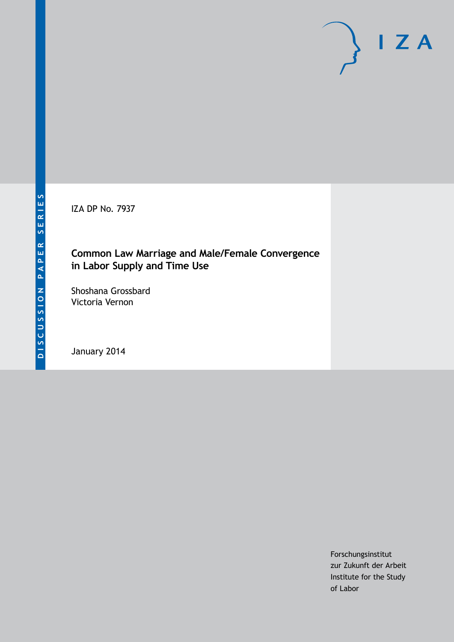IZA DP No. 7937

### **Common Law Marriage and Male/Female Convergence in Labor Supply and Time Use**

Shoshana Grossbard Victoria Vernon

January 2014

Forschungsinstitut zur Zukunft der Arbeit Institute for the Study of Labor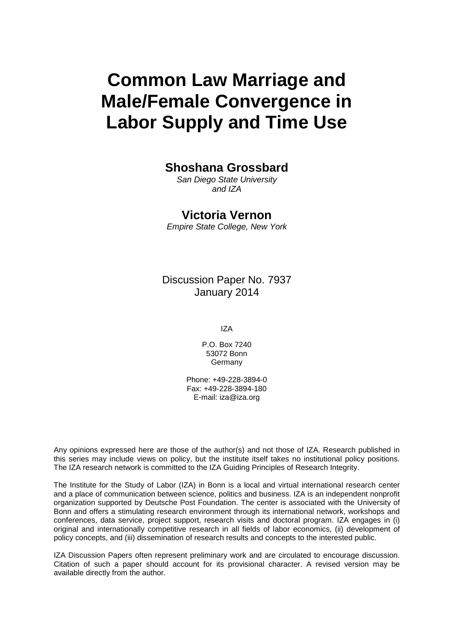# **Common Law Marriage and Male/Female Convergence in Labor Supply and Time Use**

### **Shoshana Grossbard**

*San Diego State University and IZA*

### **Victoria Vernon**

*Empire State College, New York*

Discussion Paper No. 7937 January 2014

IZA

P.O. Box 7240 53072 Bonn **Germany** 

Phone: +49-228-3894-0 Fax: +49-228-3894-180 E-mail: [iza@iza.org](mailto:iza@iza.org)

Any opinions expressed here are those of the author(s) and not those of IZA. Research published in this series may include views on policy, but the institute itself takes no institutional policy positions. The IZA research network is committed to the IZA Guiding Principles of Research Integrity.

The Institute for the Study of Labor (IZA) in Bonn is a local and virtual international research center and a place of communication between science, politics and business. IZA is an independent nonprofit organization supported by Deutsche Post Foundation. The center is associated with the University of Bonn and offers a stimulating research environment through its international network, workshops and conferences, data service, project support, research visits and doctoral program. IZA engages in (i) original and internationally competitive research in all fields of labor economics, (ii) development of policy concepts, and (iii) dissemination of research results and concepts to the interested public.

IZA Discussion Papers often represent preliminary work and are circulated to encourage discussion. Citation of such a paper should account for its provisional character. A revised version may be available directly from the author.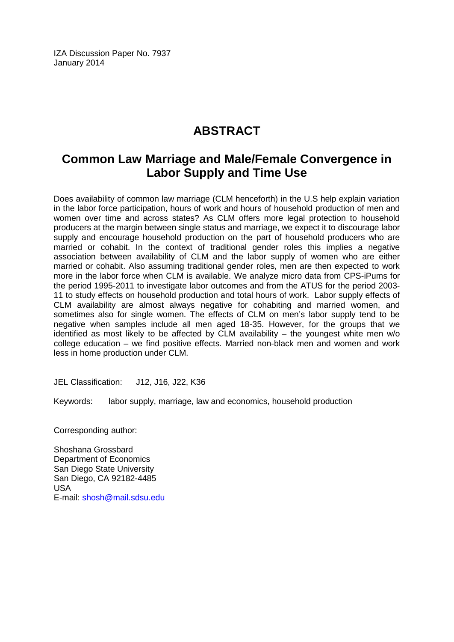IZA Discussion Paper No. 7937 January 2014

# **ABSTRACT**

## **Common Law Marriage and Male/Female Convergence in Labor Supply and Time Use**

Does availability of common law marriage (CLM henceforth) in the U.S help explain variation in the labor force participation, hours of work and hours of household production of men and women over time and across states? As CLM offers more legal protection to household producers at the margin between single status and marriage, we expect it to discourage labor supply and encourage household production on the part of household producers who are married or cohabit. In the context of traditional gender roles this implies a negative association between availability of CLM and the labor supply of women who are either married or cohabit. Also assuming traditional gender roles, men are then expected to work more in the labor force when CLM is available. We analyze micro data from CPS-iPums for the period 1995-2011 to investigate labor outcomes and from the ATUS for the period 2003- 11 to study effects on household production and total hours of work. Labor supply effects of CLM availability are almost always negative for cohabiting and married women, and sometimes also for single women. The effects of CLM on men's labor supply tend to be negative when samples include all men aged 18-35. However, for the groups that we identified as most likely to be affected by CLM availability – the youngest white men w/o college education – we find positive effects. Married non-black men and women and work less in home production under CLM.

JEL Classification: J12, J16, J22, K36

Keywords: labor supply, marriage, law and economics, household production

Corresponding author:

Shoshana Grossbard Department of Economics San Diego State University San Diego, CA 92182-4485 USA E-mail: [shosh@mail.sdsu.edu](mailto:shosh@mail.sdsu.edu)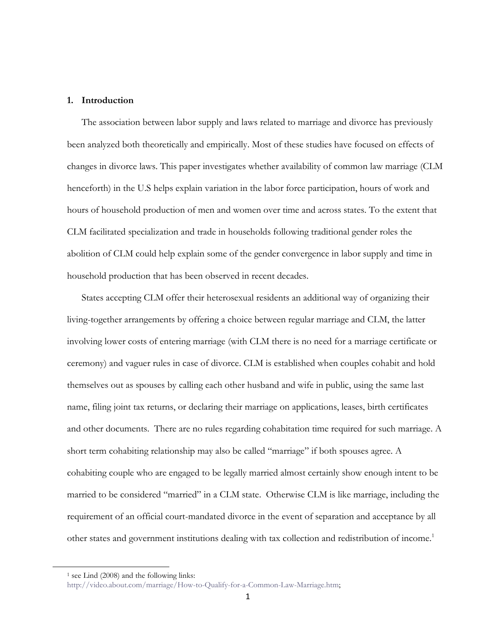#### **1. Introduction**

The association between labor supply and laws related to marriage and divorce has previously been analyzed both theoretically and empirically. Most of these studies have focused on effects of changes in divorce laws. This paper investigates whether availability of common law marriage (CLM henceforth) in the U.S helps explain variation in the labor force participation, hours of work and hours of household production of men and women over time and across states. To the extent that CLM facilitated specialization and trade in households following traditional gender roles the abolition of CLM could help explain some of the gender convergence in labor supply and time in household production that has been observed in recent decades.

States accepting CLM offer their heterosexual residents an additional way of organizing their living-together arrangements by offering a choice between regular marriage and CLM, the latter involving lower costs of entering marriage (with CLM there is no need for a marriage certificate or ceremony) and vaguer rules in case of divorce. CLM is established when couples cohabit and hold themselves out as spouses by calling each other husband and wife in public, using the same last name, filing joint tax returns, or declaring their marriage on applications, leases, birth certificates and other documents. There are no rules regarding cohabitation time required for such marriage. A short term cohabiting relationship may also be called "marriage" if both spouses agree. A cohabiting couple who are engaged to be legally married almost certainly show enough intent to be married to be considered "married" in a CLM state. Otherwise CLM is like marriage, including the requirement of an official court-mandated divorce in the event of separation and acceptance by all other states and government institutions dealing with tax collection and redistribution of income.<sup>1</sup>

 $\overline{a}$ 

<sup>&</sup>lt;sup>1</sup> see Lind (2008) and the following links:

[http://video.about.com/marriage/How-to-Qualify-for-a-Common-Law-Marriage.htm;](http://video.about.com/marriage/How-to-Qualify-for-a-Common-Law-Marriage.htm)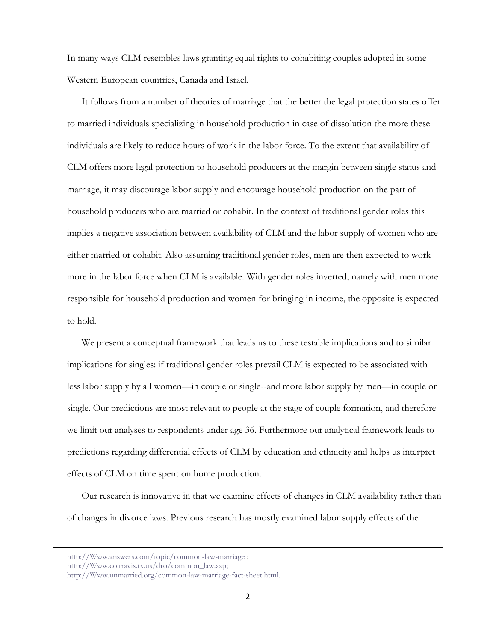In many ways CLM resembles laws granting equal rights to cohabiting couples adopted in some Western European countries, Canada and Israel.

It follows from a number of theories of marriage that the better the legal protection states offer to married individuals specializing in household production in case of dissolution the more these individuals are likely to reduce hours of work in the labor force. To the extent that availability of CLM offers more legal protection to household producers at the margin between single status and marriage, it may discourage labor supply and encourage household production on the part of household producers who are married or cohabit. In the context of traditional gender roles this implies a negative association between availability of CLM and the labor supply of women who are either married or cohabit. Also assuming traditional gender roles, men are then expected to work more in the labor force when CLM is available. With gender roles inverted, namely with men more responsible for household production and women for bringing in income, the opposite is expected to hold.

We present a conceptual framework that leads us to these testable implications and to similar implications for singles: if traditional gender roles prevail CLM is expected to be associated with less labor supply by all women—in couple or single--and more labor supply by men—in couple or single. Our predictions are most relevant to people at the stage of couple formation, and therefore we limit our analyses to respondents under age 36. Furthermore our analytical framework leads to predictions regarding differential effects of CLM by education and ethnicity and helps us interpret effects of CLM on time spent on home production.

Our research is innovative in that we examine effects of changes in CLM availability rather than of changes in divorce laws. Previous research has mostly examined labor supply effects of the

**.** 

[http://Www.answers.com/topic/common-law-marriage](http://www.answers.com/topic/common-law-marriage) ;

[http://Www.co.travis.tx.us/dro/common\\_law.asp;](http://www.co.travis.tx.us/dro/common_law.asp)

[http://Www.unmarried.org/common-law-marriage-fact-sheet.html.](http://www.unmarried.org/common-law-marriage-fact-sheet.html)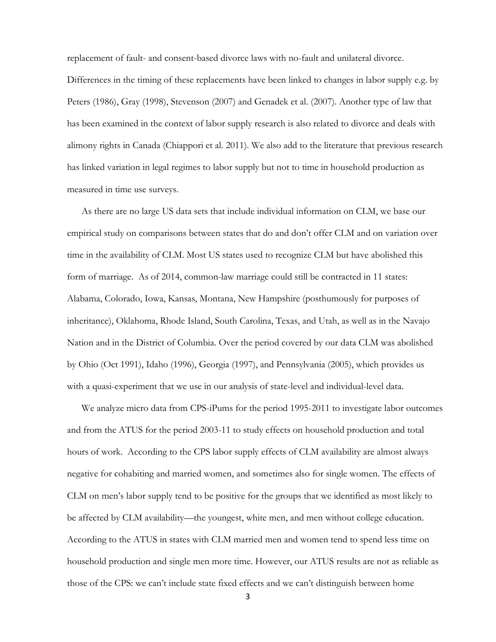replacement of fault- and consent-based divorce laws with no-fault and unilateral divorce. Differences in the timing of these replacements have been linked to changes in labor supply e.g. by Peters (1986), Gray (1998), Stevenson (2007) and Genadek et al. (2007). Another type of law that has been examined in the context of labor supply research is also related to divorce and deals with alimony rights in Canada (Chiappori et al. 2011). We also add to the literature that previous research has linked variation in legal regimes to labor supply but not to time in household production as measured in time use surveys.

As there are no large US data sets that include individual information on CLM, we base our empirical study on comparisons between states that do and don't offer CLM and on variation over time in the availability of CLM. Most US states used to recognize CLM but have abolished this form of marriage. As of 2014, common-law marriage could still be contracted in 11 states: Alabama, Colorado, Iowa, Kansas, Montana, New Hampshire (posthumously for purposes of inheritance), Oklahoma, Rhode Island, South Carolina, Texas, and Utah, as well as in the Navajo Nation and in the District of Columbia. Over the period covered by our data CLM was abolished by Ohio (Oct 1991), Idaho (1996), Georgia (1997), and Pennsylvania (2005), which provides us with a quasi-experiment that we use in our analysis of state-level and individual-level data.

We analyze micro data from CPS-iPums for the period 1995-2011 to investigate labor outcomes and from the ATUS for the period 2003-11 to study effects on household production and total hours of work. According to the CPS labor supply effects of CLM availability are almost always negative for cohabiting and married women, and sometimes also for single women. The effects of CLM on men's labor supply tend to be positive for the groups that we identified as most likely to be affected by CLM availability—the youngest, white men, and men without college education. According to the ATUS in states with CLM married men and women tend to spend less time on household production and single men more time. However, our ATUS results are not as reliable as those of the CPS: we can't include state fixed effects and we can't distinguish between home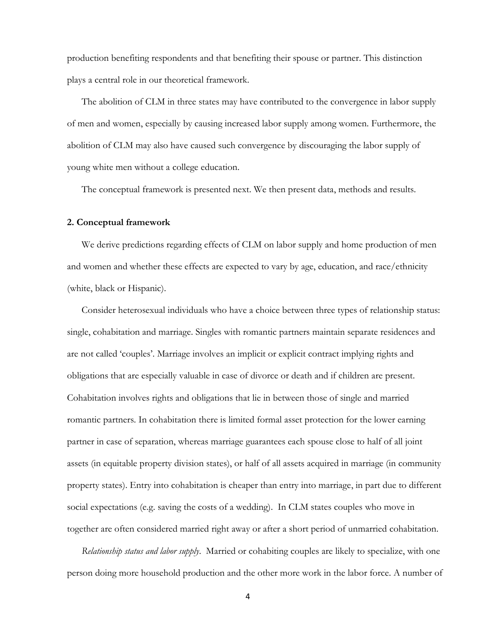production benefiting respondents and that benefiting their spouse or partner. This distinction plays a central role in our theoretical framework.

The abolition of CLM in three states may have contributed to the convergence in labor supply of men and women, especially by causing increased labor supply among women. Furthermore, the abolition of CLM may also have caused such convergence by discouraging the labor supply of young white men without a college education.

The conceptual framework is presented next. We then present data, methods and results.

#### **2. Conceptual framework**

We derive predictions regarding effects of CLM on labor supply and home production of men and women and whether these effects are expected to vary by age, education, and race/ethnicity (white, black or Hispanic).

Consider heterosexual individuals who have a choice between three types of relationship status: single, cohabitation and marriage. Singles with romantic partners maintain separate residences and are not called 'couples'. Marriage involves an implicit or explicit contract implying rights and obligations that are especially valuable in case of divorce or death and if children are present. Cohabitation involves rights and obligations that lie in between those of single and married romantic partners. In cohabitation there is limited formal asset protection for the lower earning partner in case of separation, whereas marriage guarantees each spouse close to half of all joint assets (in equitable property division states), or half of all assets acquired in marriage (in community property states). Entry into cohabitation is cheaper than entry into marriage, in part due to different social expectations (e.g. saving the costs of a wedding). In CLM states couples who move in together are often considered married right away or after a short period of unmarried cohabitation.

*Relationship status and labor supply*. Married or cohabiting couples are likely to specialize, with one person doing more household production and the other more work in the labor force. A number of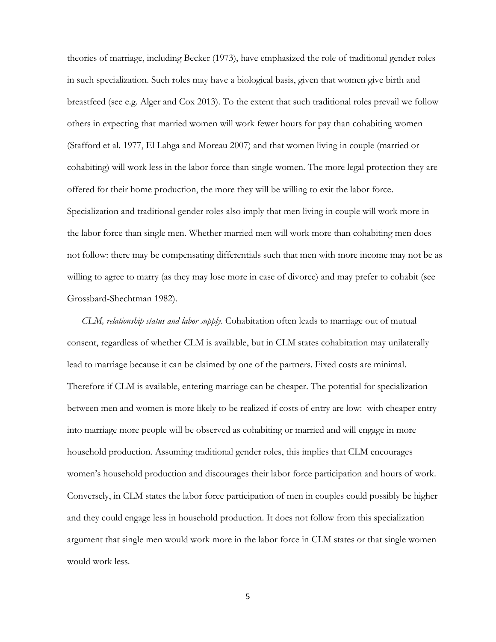theories of marriage, including Becker (1973), have emphasized the role of traditional gender roles in such specialization. Such roles may have a biological basis, given that women give birth and breastfeed (see e.g. Alger and Cox 2013). To the extent that such traditional roles prevail we follow others in expecting that married women will work fewer hours for pay than cohabiting women (Stafford et al. 1977, El Lahga and Moreau 2007) and that women living in couple (married or cohabiting) will work less in the labor force than single women. The more legal protection they are offered for their home production, the more they will be willing to exit the labor force. Specialization and traditional gender roles also imply that men living in couple will work more in the labor force than single men. Whether married men will work more than cohabiting men does not follow: there may be compensating differentials such that men with more income may not be as willing to agree to marry (as they may lose more in case of divorce) and may prefer to cohabit (see Grossbard-Shechtman 1982).

*CLM, relationship status and labor supply*. Cohabitation often leads to marriage out of mutual consent, regardless of whether CLM is available, but in CLM states cohabitation may unilaterally lead to marriage because it can be claimed by one of the partners. Fixed costs are minimal. Therefore if CLM is available, entering marriage can be cheaper. The potential for specialization between men and women is more likely to be realized if costs of entry are low: with cheaper entry into marriage more people will be observed as cohabiting or married and will engage in more household production. Assuming traditional gender roles, this implies that CLM encourages women's household production and discourages their labor force participation and hours of work. Conversely, in CLM states the labor force participation of men in couples could possibly be higher and they could engage less in household production. It does not follow from this specialization argument that single men would work more in the labor force in CLM states or that single women would work less.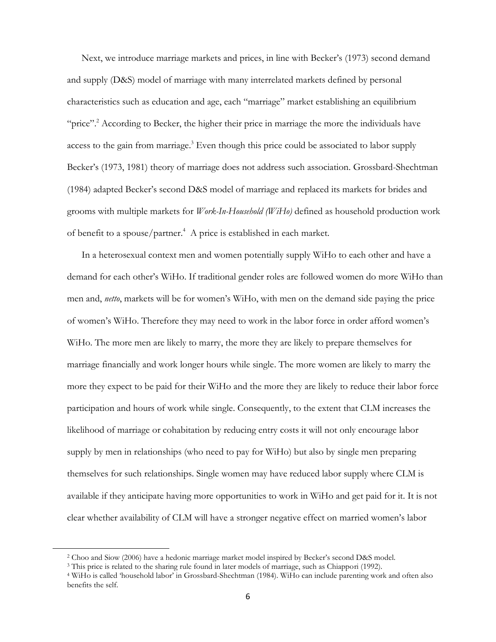Next, we introduce marriage markets and prices, in line with Becker's (1973) second demand and supply (D&S) model of marriage with many interrelated markets defined by personal characteristics such as education and age, each "marriage" market establishing an equilibrium "price"<sup>2</sup> According to Becker, the higher their price in marriage the more the individuals have access to the gain from marriage.<sup>3</sup> Even though this price could be associated to labor supply Becker's (1973, 1981) theory of marriage does not address such association. Grossbard-Shechtman (1984) adapted Becker's second D&S model of marriage and replaced its markets for brides and grooms with multiple markets for *Work-In-Household (WiHo)* defined as household production work of benefit to a spouse/partner.<sup>4</sup> A price is established in each market.

In a heterosexual context men and women potentially supply WiHo to each other and have a demand for each other's WiHo. If traditional gender roles are followed women do more WiHo than men and, *netto*, markets will be for women's WiHo, with men on the demand side paying the price of women's WiHo. Therefore they may need to work in the labor force in order afford women's WiHo. The more men are likely to marry, the more they are likely to prepare themselves for marriage financially and work longer hours while single. The more women are likely to marry the more they expect to be paid for their WiHo and the more they are likely to reduce their labor force participation and hours of work while single. Consequently, to the extent that CLM increases the likelihood of marriage or cohabitation by reducing entry costs it will not only encourage labor supply by men in relationships (who need to pay for WiHo) but also by single men preparing themselves for such relationships. Single women may have reduced labor supply where CLM is available if they anticipate having more opportunities to work in WiHo and get paid for it. It is not clear whether availability of CLM will have a stronger negative effect on married women's labor

 $\overline{a}$ 

<sup>2</sup> Choo and Siow (2006) have a hedonic marriage market model inspired by Becker's second D&S model.

<sup>3</sup> This price is related to the sharing rule found in later models of marriage, such as Chiappori (1992).

<sup>4</sup> WiHo is called 'household labor' in Grossbard-Shechtman (1984). WiHo can include parenting work and often also benefits the self.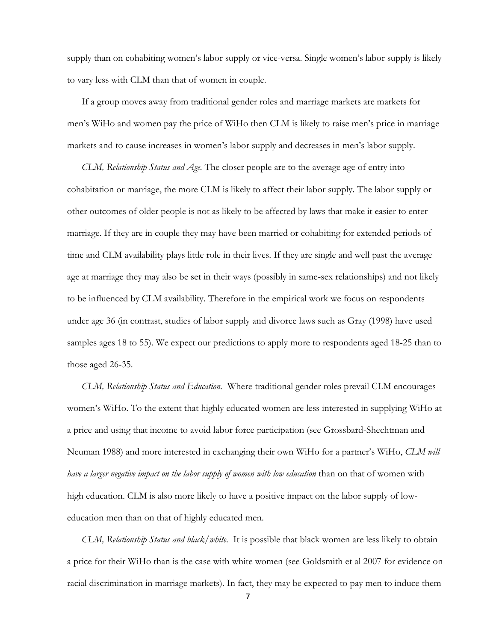supply than on cohabiting women's labor supply or vice-versa. Single women's labor supply is likely to vary less with CLM than that of women in couple.

If a group moves away from traditional gender roles and marriage markets are markets for men's WiHo and women pay the price of WiHo then CLM is likely to raise men's price in marriage markets and to cause increases in women's labor supply and decreases in men's labor supply.

*CLM, Relationship Status and Age.* The closer people are to the average age of entry into cohabitation or marriage, the more CLM is likely to affect their labor supply. The labor supply or other outcomes of older people is not as likely to be affected by laws that make it easier to enter marriage. If they are in couple they may have been married or cohabiting for extended periods of time and CLM availability plays little role in their lives. If they are single and well past the average age at marriage they may also be set in their ways (possibly in same-sex relationships) and not likely to be influenced by CLM availability. Therefore in the empirical work we focus on respondents under age 36 (in contrast, studies of labor supply and divorce laws such as Gray (1998) have used samples ages 18 to 55). We expect our predictions to apply more to respondents aged 18-25 than to those aged 26-35.

*CLM, Relationship Status and Education.* Where traditional gender roles prevail CLM encourages women's WiHo. To the extent that highly educated women are less interested in supplying WiHo at a price and using that income to avoid labor force participation (see Grossbard-Shechtman and Neuman 1988) and more interested in exchanging their own WiHo for a partner's WiHo, *CLM will have a larger negative impact on the labor supply of women with low education* than on that of women with high education. CLM is also more likely to have a positive impact on the labor supply of loweducation men than on that of highly educated men.

*CLM, Relationship Status and black/white*. It is possible that black women are less likely to obtain a price for their WiHo than is the case with white women (see Goldsmith et al 2007 for evidence on racial discrimination in marriage markets). In fact, they may be expected to pay men to induce them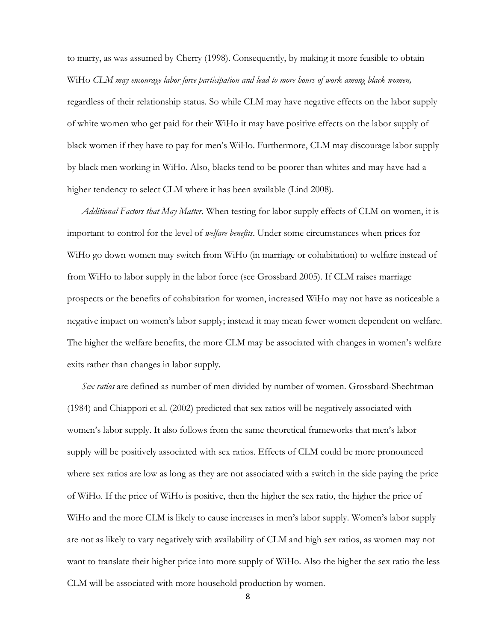to marry, as was assumed by Cherry (1998). Consequently, by making it more feasible to obtain WiHo *CLM may encourage labor force participation and lead to more hours of work among black women,* regardless of their relationship status. So while CLM may have negative effects on the labor supply of white women who get paid for their WiHo it may have positive effects on the labor supply of black women if they have to pay for men's WiHo. Furthermore, CLM may discourage labor supply by black men working in WiHo. Also, blacks tend to be poorer than whites and may have had a higher tendency to select CLM where it has been available (Lind 2008).

*Additional Factors that May Matter*. When testing for labor supply effects of CLM on women, it is important to control for the level of *welfare benefits*. Under some circumstances when prices for WiHo go down women may switch from WiHo (in marriage or cohabitation) to welfare instead of from WiHo to labor supply in the labor force (see Grossbard 2005). If CLM raises marriage prospects or the benefits of cohabitation for women, increased WiHo may not have as noticeable a negative impact on women's labor supply; instead it may mean fewer women dependent on welfare. The higher the welfare benefits, the more CLM may be associated with changes in women's welfare exits rather than changes in labor supply.

*Sex ratios* are defined as number of men divided by number of women. Grossbard-Shechtman (1984) and Chiappori et al. (2002) predicted that sex ratios will be negatively associated with women's labor supply. It also follows from the same theoretical frameworks that men's labor supply will be positively associated with sex ratios. Effects of CLM could be more pronounced where sex ratios are low as long as they are not associated with a switch in the side paying the price of WiHo. If the price of WiHo is positive, then the higher the sex ratio, the higher the price of WiHo and the more CLM is likely to cause increases in men's labor supply. Women's labor supply are not as likely to vary negatively with availability of CLM and high sex ratios, as women may not want to translate their higher price into more supply of WiHo. Also the higher the sex ratio the less CLM will be associated with more household production by women.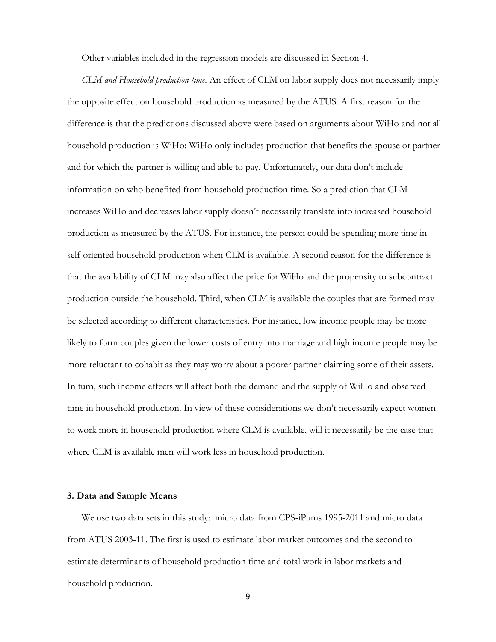Other variables included in the regression models are discussed in Section 4.

*CLM and Household production time*. An effect of CLM on labor supply does not necessarily imply the opposite effect on household production as measured by the ATUS. A first reason for the difference is that the predictions discussed above were based on arguments about WiHo and not all household production is WiHo: WiHo only includes production that benefits the spouse or partner and for which the partner is willing and able to pay. Unfortunately, our data don't include information on who benefited from household production time. So a prediction that CLM increases WiHo and decreases labor supply doesn't necessarily translate into increased household production as measured by the ATUS. For instance, the person could be spending more time in self-oriented household production when CLM is available. A second reason for the difference is that the availability of CLM may also affect the price for WiHo and the propensity to subcontract production outside the household. Third, when CLM is available the couples that are formed may be selected according to different characteristics. For instance, low income people may be more likely to form couples given the lower costs of entry into marriage and high income people may be more reluctant to cohabit as they may worry about a poorer partner claiming some of their assets. In turn, such income effects will affect both the demand and the supply of WiHo and observed time in household production. In view of these considerations we don't necessarily expect women to work more in household production where CLM is available, will it necessarily be the case that where CLM is available men will work less in household production.

#### **3. Data and Sample Means**

We use two data sets in this study: micro data from CPS-iPums 1995-2011 and micro data from ATUS 2003-11. The first is used to estimate labor market outcomes and the second to estimate determinants of household production time and total work in labor markets and household production.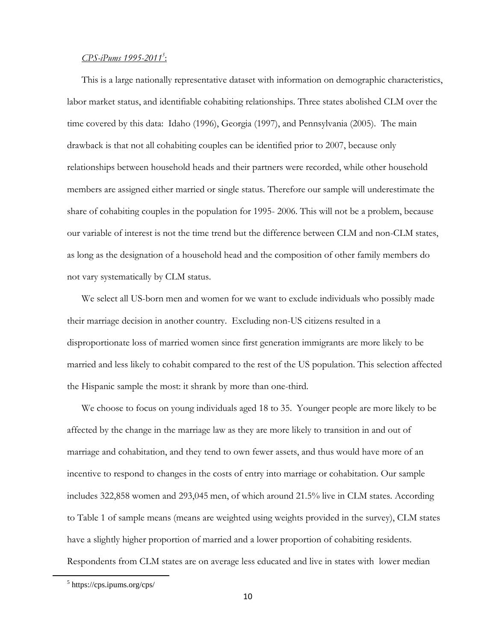#### *CPS-iPums 1995-2011<sup>5</sup>* :

This is a large nationally representative dataset with information on demographic characteristics, labor market status, and identifiable cohabiting relationships. Three states abolished CLM over the time covered by this data: Idaho (1996), Georgia (1997), and Pennsylvania (2005). The main drawback is that not all cohabiting couples can be identified prior to 2007, because only relationships between household heads and their partners were recorded, while other household members are assigned either married or single status. Therefore our sample will underestimate the share of cohabiting couples in the population for 1995- 2006. This will not be a problem, because our variable of interest is not the time trend but the difference between CLM and non-CLM states, as long as the designation of a household head and the composition of other family members do not vary systematically by CLM status.

We select all US-born men and women for we want to exclude individuals who possibly made their marriage decision in another country. Excluding non-US citizens resulted in a disproportionate loss of married women since first generation immigrants are more likely to be married and less likely to cohabit compared to the rest of the US population. This selection affected the Hispanic sample the most: it shrank by more than one-third.

We choose to focus on young individuals aged 18 to 35. Younger people are more likely to be affected by the change in the marriage law as they are more likely to transition in and out of marriage and cohabitation, and they tend to own fewer assets, and thus would have more of an incentive to respond to changes in the costs of entry into marriage or cohabitation. Our sample includes 322,858 women and 293,045 men, of which around 21.5% live in CLM states. According to Table 1 of sample means (means are weighted using weights provided in the survey), CLM states have a slightly higher proportion of married and a lower proportion of cohabiting residents. Respondents from CLM states are on average less educated and live in states with lower median

 $\overline{a}$ 

<sup>5</sup> https://cps.ipums.org/cps/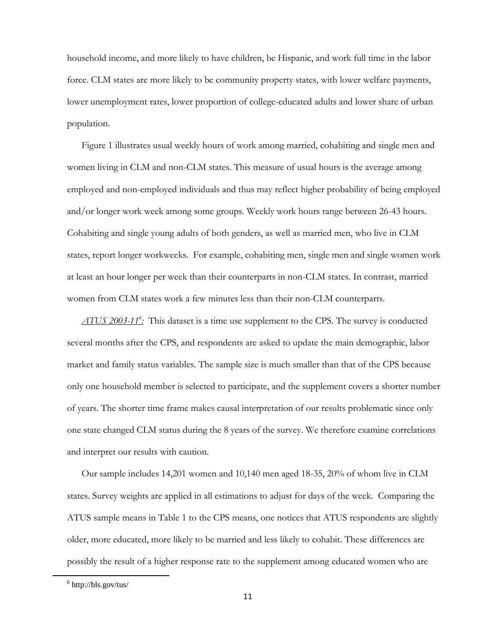household income, and more likely to have children, be Hispanic, and work full time in the labor force. CLM states are more likely to be community property states, with lower welfare payments, lower unemployment rates, lower proportion of college-educated adults and lower share of urban population.

Figure 1 illustrates usual weekly hours of work among married, cohabiting and single men and women living in CLM and non-CLM states. This measure of usual hours is the average among employed and non-employed individuals and thus may reflect higher probability of being employed and/or longer work week among some groups. Weekly work hours range between 26-43 hours. Cohabiting and single young adults of both genders, as well as married men, who live in CLM states, report longer workweeks. For example, cohabiting men, single men and single women work at least an hour longer per week than their counterparts in non-CLM states. In contrast, married women from CLM states work a few minutes less than their non-CLM counterparts.

*ATUS 2003-11<sup>6</sup> :* This dataset is a time use supplement to the CPS. The survey is conducted several months after the CPS, and respondents are asked to update the main demographic, labor market and family status variables. The sample size is much smaller than that of the CPS because only one household member is selected to participate, and the supplement covers a shorter number of years. The shorter time frame makes causal interpretation of our results problematic since only one state changed CLM status during the 8 years of the survey. We therefore examine correlations and interpret our results with caution.

Our sample includes 14,201 women and 10,140 men aged 18-35, 20% of whom live in CLM states. Survey weights are applied in all estimations to adjust for days of the week. Comparing the ATUS sample means in Table 1 to the CPS means, one notices that ATUS respondents are slightly older, more educated, more likely to be married and less likely to cohabit. These differences are possibly the result of a higher response rate to the supplement among educated women who are

 $\overline{a}$ 

 $6$  http://bls.gov/tus/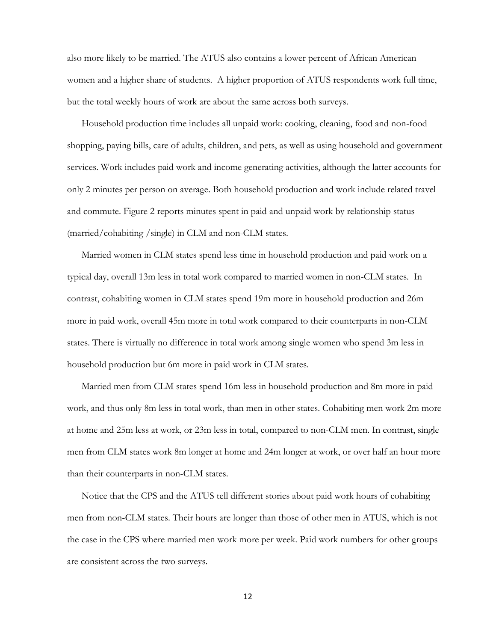also more likely to be married. The ATUS also contains a lower percent of African American women and a higher share of students. A higher proportion of ATUS respondents work full time, but the total weekly hours of work are about the same across both surveys.

Household production time includes all unpaid work: cooking, cleaning, food and non-food shopping, paying bills, care of adults, children, and pets, as well as using household and government services. Work includes paid work and income generating activities, although the latter accounts for only 2 minutes per person on average. Both household production and work include related travel and commute. Figure 2 reports minutes spent in paid and unpaid work by relationship status (married/cohabiting /single) in CLM and non-CLM states.

Married women in CLM states spend less time in household production and paid work on a typical day, overall 13m less in total work compared to married women in non-CLM states. In contrast, cohabiting women in CLM states spend 19m more in household production and 26m more in paid work, overall 45m more in total work compared to their counterparts in non-CLM states. There is virtually no difference in total work among single women who spend 3m less in household production but 6m more in paid work in CLM states.

Married men from CLM states spend 16m less in household production and 8m more in paid work, and thus only 8m less in total work, than men in other states. Cohabiting men work 2m more at home and 25m less at work, or 23m less in total, compared to non-CLM men. In contrast, single men from CLM states work 8m longer at home and 24m longer at work, or over half an hour more than their counterparts in non-CLM states.

Notice that the CPS and the ATUS tell different stories about paid work hours of cohabiting men from non-CLM states. Their hours are longer than those of other men in ATUS, which is not the case in the CPS where married men work more per week. Paid work numbers for other groups are consistent across the two surveys.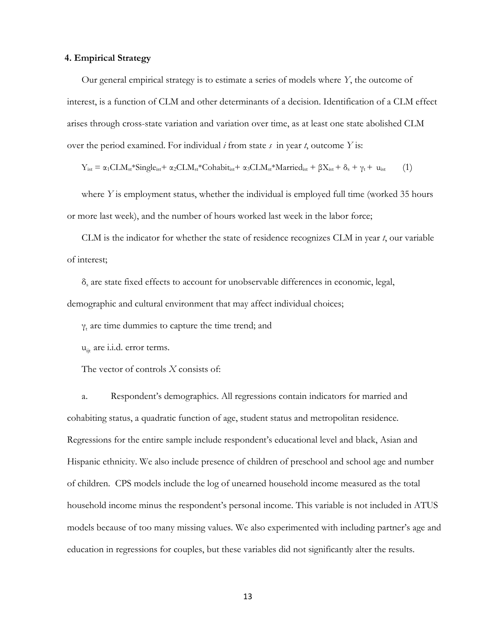#### **4. Empirical Strategy**

Our general empirical strategy is to estimate a series of models where *Y*, the outcome of interest, is a function of CLM and other determinants of a decision. Identification of a CLM effect arises through cross-state variation and variation over time, as at least one state abolished CLM over the period examined. For individual *i* from state *s* in year *t*, outcome *Y* is:

$$
Y_{ist} = \alpha_1 CL M_{st} * Single_{ist} + \alpha_2 CL M_{st} * Cohabit_{ist} + \alpha_3 CL M_{st} * Married_{ist} + \beta X_{ist} + \delta_s + \gamma_t + u_{ist}
$$
 (1)

where *Y* is employment status, whether the individual is employed full time (worked 35 hours or more last week), and the number of hours worked last week in the labor force;

CLM is the indicator for whether the state of residence recognizes CLM in year *t*, our variable of interest;

δ<sub>s</sub> are state fixed effects to account for unobservable differences in economic, legal, demographic and cultural environment that may affect individual choices;

 $γ_t$  are time dummies to capture the time trend; and

u<sub>it</sub> are i.i.d. error terms.

The vector of controls *X* consists of:

a. Respondent's demographics. All regressions contain indicators for married and cohabiting status, a quadratic function of age, student status and metropolitan residence. Regressions for the entire sample include respondent's educational level and black, Asian and Hispanic ethnicity. We also include presence of children of preschool and school age and number of children. CPS models include the log of unearned household income measured as the total household income minus the respondent's personal income. This variable is not included in ATUS models because of too many missing values. We also experimented with including partner's age and education in regressions for couples, but these variables did not significantly alter the results.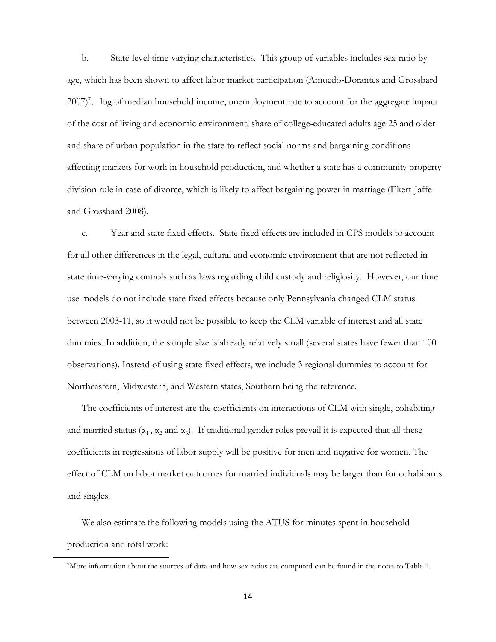b. State-level time-varying characteristics. This group of variables includes sex-ratio by age, which has been shown to affect labor market participation (Amuedo-Dorantes and Grossbard 2007)<sup>7</sup>, log of median household income, unemployment rate to account for the aggregate impact of the cost of living and economic environment, share of college-educated adults age 25 and older and share of urban population in the state to reflect social norms and bargaining conditions affecting markets for work in household production, and whether a state has a community property division rule in case of divorce, which is likely to affect bargaining power in marriage (Ekert-Jaffe and Grossbard 2008).

c. Year and state fixed effects. State fixed effects are included in CPS models to account for all other differences in the legal, cultural and economic environment that are not reflected in state time-varying controls such as laws regarding child custody and religiosity. However, our time use models do not include state fixed effects because only Pennsylvania changed CLM status between 2003-11, so it would not be possible to keep the CLM variable of interest and all state dummies. In addition, the sample size is already relatively small (several states have fewer than 100 observations). Instead of using state fixed effects, we include 3 regional dummies to account for Northeastern, Midwestern, and Western states, Southern being the reference.

The coefficients of interest are the coefficients on interactions of CLM with single, cohabiting and married status ( $\alpha_1$ ,  $\alpha_2$  and  $\alpha_3$ ). If traditional gender roles prevail it is expected that all these coefficients in regressions of labor supply will be positive for men and negative for women. The effect of CLM on labor market outcomes for married individuals may be larger than for cohabitants and singles.

We also estimate the following models using the ATUS for minutes spent in household production and total work:

 $\overline{a}$ 

<sup>7</sup>More information about the sources of data and how sex ratios are computed can be found in the notes to Table 1.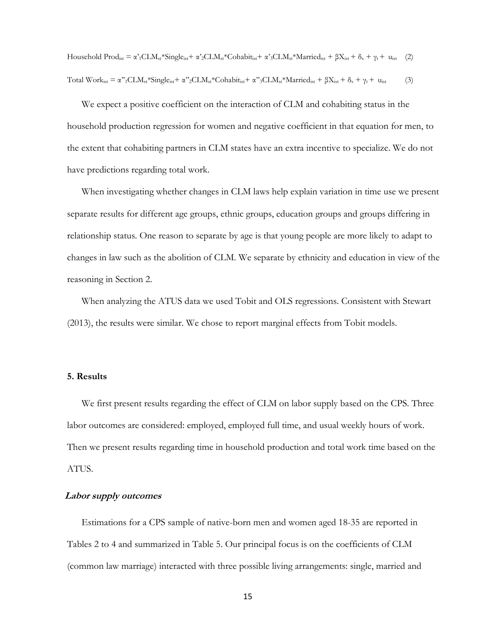Household Prod<sub>ist</sub> =  $\alpha'_{1}CLM_{st}$ \*Single<sub>ist</sub> +  $\alpha'_{2}CLM_{st}$ \*Cohabit<sub>ist</sub> +  $\alpha'_{3}CLM_{st}$ \*Married<sub>ist</sub> +  $\beta X_{ist}$  +  $\delta_{s}$  +  $\gamma_{t}$  + u<sub>ist</sub> (2) Total Work<sub>ist</sub> =  $\alpha$ "<sub>1</sub>CLM<sub>st</sub>\*Single<sub>ist</sub>+  $\alpha$ "<sub>2</sub>CLM<sub>st</sub>\*Cohabit<sub>ist</sub>+  $\alpha$ "<sub>3</sub>CLM<sub>st</sub>\*Married<sub>ist</sub> +  $\beta$ X<sub>ist</sub> +  $\delta_s$  +  $\gamma_t$  + u<sub>ist</sub> (3)

We expect a positive coefficient on the interaction of CLM and cohabiting status in the household production regression for women and negative coefficient in that equation for men, to the extent that cohabiting partners in CLM states have an extra incentive to specialize. We do not have predictions regarding total work.

When investigating whether changes in CLM laws help explain variation in time use we present separate results for different age groups, ethnic groups, education groups and groups differing in relationship status. One reason to separate by age is that young people are more likely to adapt to changes in law such as the abolition of CLM. We separate by ethnicity and education in view of the reasoning in Section 2.

When analyzing the ATUS data we used Tobit and OLS regressions. Consistent with Stewart (2013), the results were similar. We chose to report marginal effects from Tobit models.

#### **5. Results**

We first present results regarding the effect of CLM on labor supply based on the CPS. Three labor outcomes are considered: employed, employed full time, and usual weekly hours of work. Then we present results regarding time in household production and total work time based on the ATUS.

#### **Labor supply outcomes**

Estimations for a CPS sample of native-born men and women aged 18-35 are reported in Tables 2 to 4 and summarized in Table 5. Our principal focus is on the coefficients of CLM (common law marriage) interacted with three possible living arrangements: single, married and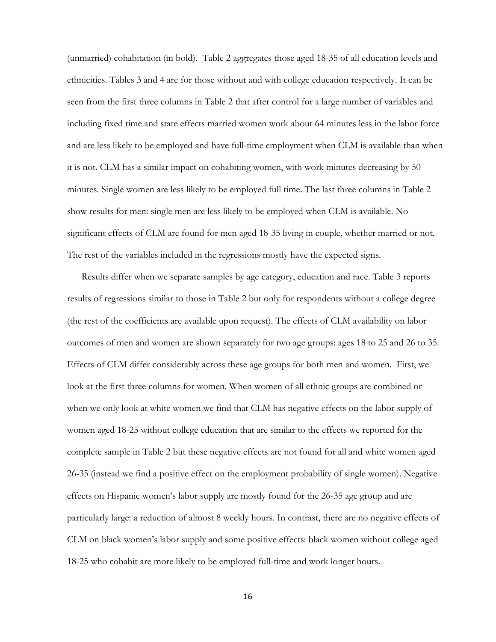(unmarried) cohabitation (in bold). Table 2 aggregates those aged 18-35 of all education levels and ethnicities. Tables 3 and 4 are for those without and with college education respectively. It can be seen from the first three columns in Table 2 that after control for a large number of variables and including fixed time and state effects married women work about 64 minutes less in the labor force and are less likely to be employed and have full-time employment when CLM is available than when it is not. CLM has a similar impact on cohabiting women, with work minutes decreasing by 50 minutes. Single women are less likely to be employed full time. The last three columns in Table 2 show results for men: single men are less likely to be employed when CLM is available. No significant effects of CLM are found for men aged 18-35 living in couple, whether married or not. The rest of the variables included in the regressions mostly have the expected signs.

Results differ when we separate samples by age category, education and race. Table 3 reports results of regressions similar to those in Table 2 but only for respondents without a college degree (the rest of the coefficients are available upon request). The effects of CLM availability on labor outcomes of men and women are shown separately for two age groups: ages 18 to 25 and 26 to 35. Effects of CLM differ considerably across these age groups for both men and women. First, we look at the first three columns for women. When women of all ethnic groups are combined or when we only look at white women we find that CLM has negative effects on the labor supply of women aged 18-25 without college education that are similar to the effects we reported for the complete sample in Table 2 but these negative effects are not found for all and white women aged 26-35 (instead we find a positive effect on the employment probability of single women). Negative effects on Hispanic women's labor supply are mostly found for the 26-35 age group and are particularly large: a reduction of almost 8 weekly hours. In contrast, there are no negative effects of CLM on black women's labor supply and some positive effects: black women without college aged 18-25 who cohabit are more likely to be employed full-time and work longer hours.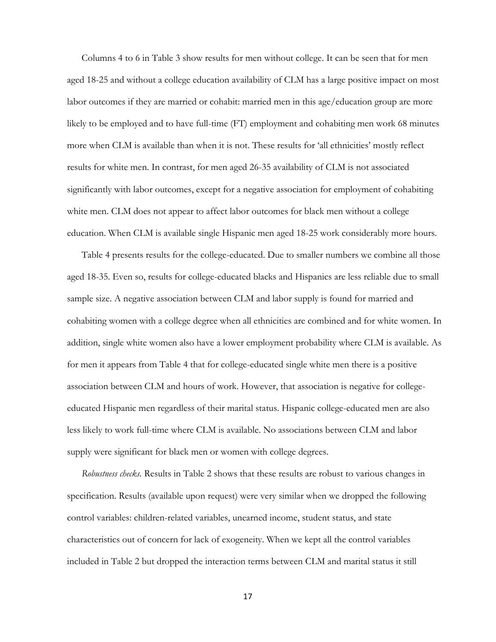Columns 4 to 6 in Table 3 show results for men without college. It can be seen that for men aged 18-25 and without a college education availability of CLM has a large positive impact on most labor outcomes if they are married or cohabit: married men in this age/education group are more likely to be employed and to have full-time (FT) employment and cohabiting men work 68 minutes more when CLM is available than when it is not. These results for 'all ethnicities' mostly reflect results for white men. In contrast, for men aged 26-35 availability of CLM is not associated significantly with labor outcomes, except for a negative association for employment of cohabiting white men. CLM does not appear to affect labor outcomes for black men without a college education. When CLM is available single Hispanic men aged 18-25 work considerably more hours.

Table 4 presents results for the college-educated. Due to smaller numbers we combine all those aged 18-35. Even so, results for college-educated blacks and Hispanics are less reliable due to small sample size. A negative association between CLM and labor supply is found for married and cohabiting women with a college degree when all ethnicities are combined and for white women. In addition, single white women also have a lower employment probability where CLM is available. As for men it appears from Table 4 that for college-educated single white men there is a positive association between CLM and hours of work. However, that association is negative for collegeeducated Hispanic men regardless of their marital status. Hispanic college-educated men are also less likely to work full-time where CLM is available. No associations between CLM and labor supply were significant for black men or women with college degrees.

*Robustness checks.* Results in Table 2 shows that these results are robust to various changes in specification. Results (available upon request) were very similar when we dropped the following control variables: children-related variables, unearned income, student status, and state characteristics out of concern for lack of exogeneity. When we kept all the control variables included in Table 2 but dropped the interaction terms between CLM and marital status it still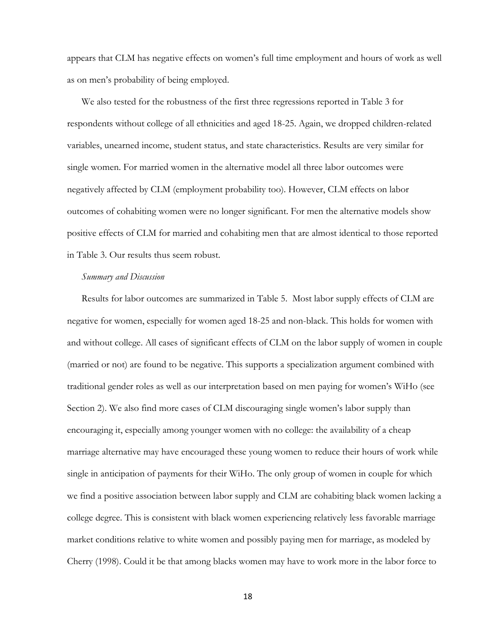appears that CLM has negative effects on women's full time employment and hours of work as well as on men's probability of being employed.

We also tested for the robustness of the first three regressions reported in Table 3 for respondents without college of all ethnicities and aged 18-25. Again, we dropped children-related variables, unearned income, student status, and state characteristics. Results are very similar for single women. For married women in the alternative model all three labor outcomes were negatively affected by CLM (employment probability too). However, CLM effects on labor outcomes of cohabiting women were no longer significant. For men the alternative models show positive effects of CLM for married and cohabiting men that are almost identical to those reported in Table 3. Our results thus seem robust.

#### *Summary and Discussion*

Results for labor outcomes are summarized in Table 5. Most labor supply effects of CLM are negative for women, especially for women aged 18-25 and non-black. This holds for women with and without college. All cases of significant effects of CLM on the labor supply of women in couple (married or not) are found to be negative. This supports a specialization argument combined with traditional gender roles as well as our interpretation based on men paying for women's WiHo (see Section 2). We also find more cases of CLM discouraging single women's labor supply than encouraging it, especially among younger women with no college: the availability of a cheap marriage alternative may have encouraged these young women to reduce their hours of work while single in anticipation of payments for their WiHo. The only group of women in couple for which we find a positive association between labor supply and CLM are cohabiting black women lacking a college degree. This is consistent with black women experiencing relatively less favorable marriage market conditions relative to white women and possibly paying men for marriage, as modeled by Cherry (1998). Could it be that among blacks women may have to work more in the labor force to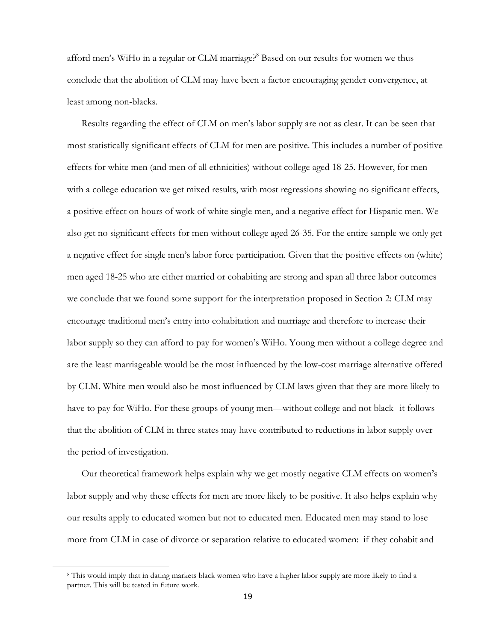afford men's WiHo in a regular or CLM marriage?<sup>8</sup> Based on our results for women we thus conclude that the abolition of CLM may have been a factor encouraging gender convergence, at least among non-blacks.

Results regarding the effect of CLM on men's labor supply are not as clear. It can be seen that most statistically significant effects of CLM for men are positive. This includes a number of positive effects for white men (and men of all ethnicities) without college aged 18-25. However, for men with a college education we get mixed results, with most regressions showing no significant effects, a positive effect on hours of work of white single men, and a negative effect for Hispanic men. We also get no significant effects for men without college aged 26-35. For the entire sample we only get a negative effect for single men's labor force participation. Given that the positive effects on (white) men aged 18-25 who are either married or cohabiting are strong and span all three labor outcomes we conclude that we found some support for the interpretation proposed in Section 2: CLM may encourage traditional men's entry into cohabitation and marriage and therefore to increase their labor supply so they can afford to pay for women's WiHo. Young men without a college degree and are the least marriageable would be the most influenced by the low-cost marriage alternative offered by CLM. White men would also be most influenced by CLM laws given that they are more likely to have to pay for WiHo. For these groups of young men—without college and not black--it follows that the abolition of CLM in three states may have contributed to reductions in labor supply over the period of investigation.

Our theoretical framework helps explain why we get mostly negative CLM effects on women's labor supply and why these effects for men are more likely to be positive. It also helps explain why our results apply to educated women but not to educated men. Educated men may stand to lose more from CLM in case of divorce or separation relative to educated women: if they cohabit and

 $\overline{a}$ 

<sup>8</sup> This would imply that in dating markets black women who have a higher labor supply are more likely to find a partner. This will be tested in future work.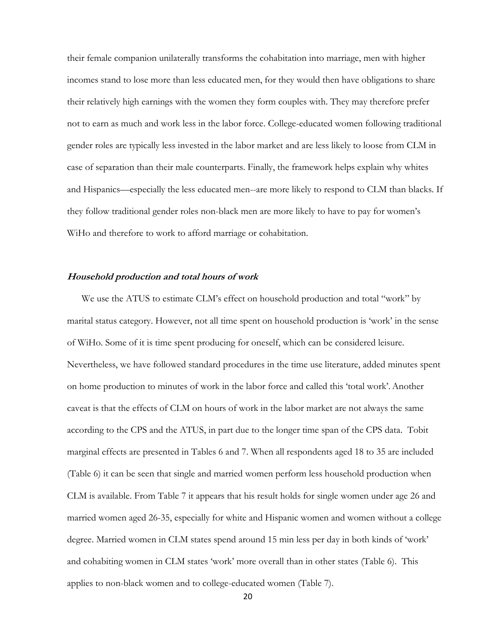their female companion unilaterally transforms the cohabitation into marriage, men with higher incomes stand to lose more than less educated men, for they would then have obligations to share their relatively high earnings with the women they form couples with. They may therefore prefer not to earn as much and work less in the labor force. College-educated women following traditional gender roles are typically less invested in the labor market and are less likely to loose from CLM in case of separation than their male counterparts. Finally, the framework helps explain why whites and Hispanics—especially the less educated men--are more likely to respond to CLM than blacks. If they follow traditional gender roles non-black men are more likely to have to pay for women's WiHo and therefore to work to afford marriage or cohabitation.

#### **Household production and total hours of work**

We use the ATUS to estimate CLM's effect on household production and total "work" by marital status category. However, not all time spent on household production is 'work' in the sense of WiHo. Some of it is time spent producing for oneself, which can be considered leisure. Nevertheless, we have followed standard procedures in the time use literature, added minutes spent on home production to minutes of work in the labor force and called this 'total work'.Another caveat is that the effects of CLM on hours of work in the labor market are not always the same according to the CPS and the ATUS, in part due to the longer time span of the CPS data. Tobit marginal effects are presented in Tables 6 and 7. When all respondents aged 18 to 35 are included (Table 6) it can be seen that single and married women perform less household production when CLM is available. From Table 7 it appears that his result holds for single women under age 26 and married women aged 26-35, especially for white and Hispanic women and women without a college degree. Married women in CLM states spend around 15 min less per day in both kinds of 'work' and cohabiting women in CLM states 'work' more overall than in other states (Table 6). This applies to non-black women and to college-educated women (Table 7).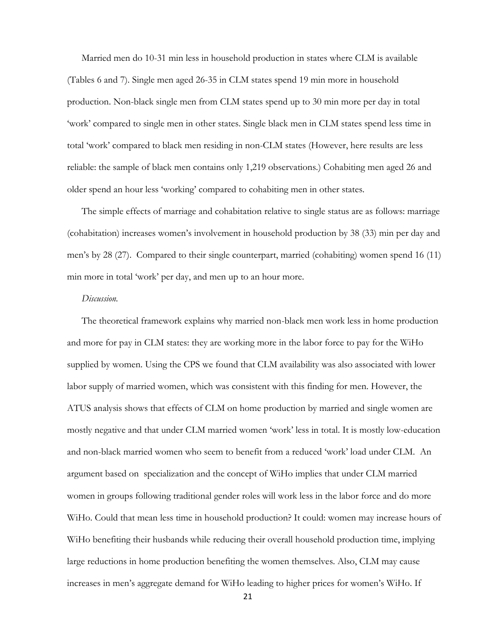Married men do 10-31 min less in household production in states where CLM is available (Tables 6 and 7). Single men aged 26-35 in CLM states spend 19 min more in household production. Non-black single men from CLM states spend up to 30 min more per day in total 'work' compared to single men in other states. Single black men in CLM states spend less time in total 'work' compared to black men residing in non-CLM states (However, here results are less reliable: the sample of black men contains only 1,219 observations.) Cohabiting men aged 26 and older spend an hour less 'working' compared to cohabiting men in other states.

The simple effects of marriage and cohabitation relative to single status are as follows: marriage (cohabitation) increases women's involvement in household production by 38 (33) min per day and men's by 28 (27). Compared to their single counterpart, married (cohabiting) women spend 16 (11) min more in total 'work' per day, and men up to an hour more.

#### *Discussion.*

The theoretical framework explains why married non-black men work less in home production and more for pay in CLM states: they are working more in the labor force to pay for the WiHo supplied by women. Using the CPS we found that CLM availability was also associated with lower labor supply of married women, which was consistent with this finding for men. However, the ATUS analysis shows that effects of CLM on home production by married and single women are mostly negative and that under CLM married women 'work' less in total. It is mostly low-education and non-black married women who seem to benefit from a reduced 'work' load under CLM. An argument based on specialization and the concept of WiHo implies that under CLM married women in groups following traditional gender roles will work less in the labor force and do more WiHo. Could that mean less time in household production? It could: women may increase hours of WiHo benefiting their husbands while reducing their overall household production time, implying large reductions in home production benefiting the women themselves. Also, CLM may cause increases in men's aggregate demand for WiHo leading to higher prices for women's WiHo. If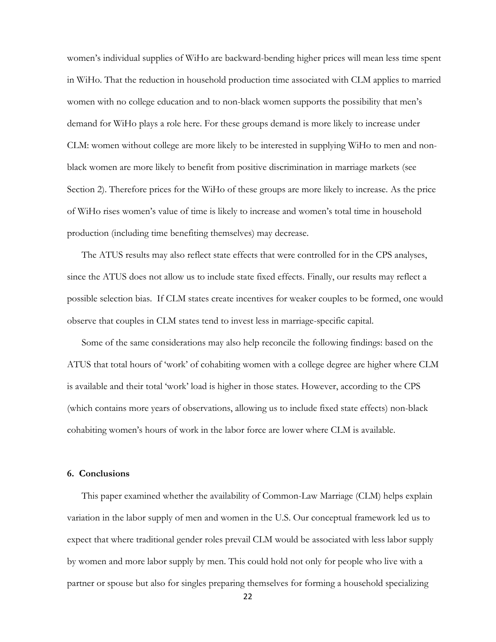women's individual supplies of WiHo are backward-bending higher prices will mean less time spent in WiHo. That the reduction in household production time associated with CLM applies to married women with no college education and to non-black women supports the possibility that men's demand for WiHo plays a role here. For these groups demand is more likely to increase under CLM: women without college are more likely to be interested in supplying WiHo to men and nonblack women are more likely to benefit from positive discrimination in marriage markets (see Section 2). Therefore prices for the WiHo of these groups are more likely to increase. As the price of WiHo rises women's value of time is likely to increase and women's total time in household production (including time benefiting themselves) may decrease.

The ATUS results may also reflect state effects that were controlled for in the CPS analyses, since the ATUS does not allow us to include state fixed effects. Finally, our results may reflect a possible selection bias. If CLM states create incentives for weaker couples to be formed, one would observe that couples in CLM states tend to invest less in marriage-specific capital.

Some of the same considerations may also help reconcile the following findings: based on the ATUS that total hours of 'work' of cohabiting women with a college degree are higher where CLM is available and their total 'work' load is higher in those states. However, according to the CPS (which contains more years of observations, allowing us to include fixed state effects) non-black cohabiting women's hours of work in the labor force are lower where CLM is available.

#### **6. Conclusions**

This paper examined whether the availability of Common-Law Marriage (CLM) helps explain variation in the labor supply of men and women in the U.S. Our conceptual framework led us to expect that where traditional gender roles prevail CLM would be associated with less labor supply by women and more labor supply by men. This could hold not only for people who live with a partner or spouse but also for singles preparing themselves for forming a household specializing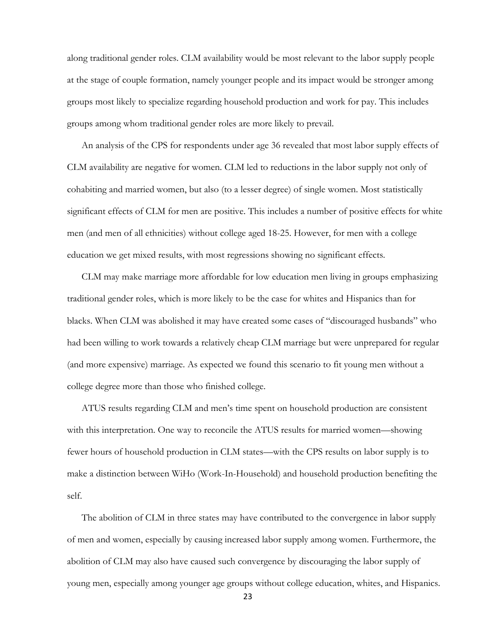along traditional gender roles. CLM availability would be most relevant to the labor supply people at the stage of couple formation, namely younger people and its impact would be stronger among groups most likely to specialize regarding household production and work for pay. This includes groups among whom traditional gender roles are more likely to prevail.

An analysis of the CPS for respondents under age 36 revealed that most labor supply effects of CLM availability are negative for women. CLM led to reductions in the labor supply not only of cohabiting and married women, but also (to a lesser degree) of single women. Most statistically significant effects of CLM for men are positive. This includes a number of positive effects for white men (and men of all ethnicities) without college aged 18-25. However, for men with a college education we get mixed results, with most regressions showing no significant effects.

CLM may make marriage more affordable for low education men living in groups emphasizing traditional gender roles, which is more likely to be the case for whites and Hispanics than for blacks. When CLM was abolished it may have created some cases of "discouraged husbands" who had been willing to work towards a relatively cheap CLM marriage but were unprepared for regular (and more expensive) marriage. As expected we found this scenario to fit young men without a college degree more than those who finished college.

ATUS results regarding CLM and men's time spent on household production are consistent with this interpretation. One way to reconcile the ATUS results for married women—showing fewer hours of household production in CLM states—with the CPS results on labor supply is to make a distinction between WiHo (Work-In-Household) and household production benefiting the self.

The abolition of CLM in three states may have contributed to the convergence in labor supply of men and women, especially by causing increased labor supply among women. Furthermore, the abolition of CLM may also have caused such convergence by discouraging the labor supply of young men, especially among younger age groups without college education, whites, and Hispanics.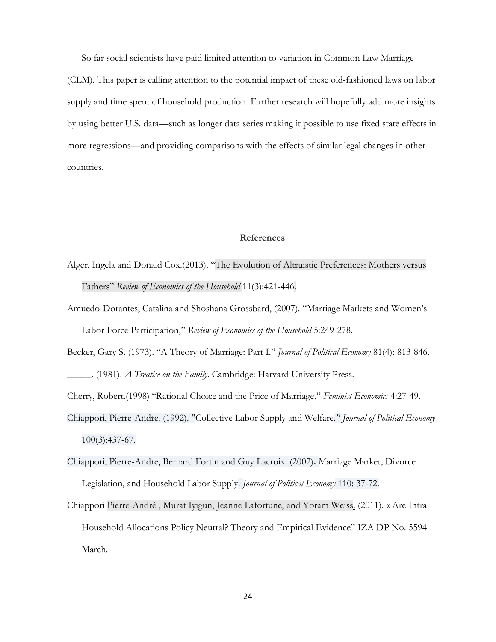So far social scientists have paid limited attention to variation in Common Law Marriage

(CLM). This paper is calling attention to the potential impact of these old-fashioned laws on labor supply and time spent of household production. Further research will hopefully add more insights by using better U.S. data—such as longer data series making it possible to use fixed state effects in more regressions—and providing comparisons with the effects of similar legal changes in other countries.

#### **References**

- Alger, Ingela and Donald Cox.(2013). "The Evolution of Altruistic Preferences: Mothers versus Fathers" *Review of Economics of the Household* 11(3):421-446.
- Amuedo-Dorantes, Catalina and [Shoshana Grossbard,](http://www.springerlink.com/content/?Author=Shoshana+Grossbard) (2007). "Marriage Markets and Women's Labor Force Participation," *Review of Economics of the Household* 5:249-278.
- Becker, Gary S. (1973). "A Theory of Marriage: Part I." *Journal of Political Economy* 81(4): 813-846. \_\_\_\_\_. (1981). *A Treatise on the Family*. Cambridge: Harvard University Press.
- Cherry, Robert.(1998) "Rational Choice and the Price of Marriage." *Feminist Economics* 4:27-49.
- Chiappori, Pierre-Andre. (1992). ["Collective Labor Supply and Welfare](http://ideas.repec.org/a/ucp/jpolec/v100y1992i3p437-67.html)*." [Journal of Political Economy](http://ideas.repec.org/s/ucp/jpolec.html)* 100(3):437-67.
- Chiappori, Pierre-Andre, Bernard Fortin and Guy Lacroix. (2002)**.** [Marriage Market, Divorce](http://ideas.repec.org/a/ucp/jpolec/v110y2002i1p37-72.html)  [Legislation, and Household Labor Supply.](http://ideas.repec.org/a/ucp/jpolec/v110y2002i1p37-72.html) *[Journal of Political Economy](http://ideas.repec.org/s/ucp/jpolec.html)* 110: 37-72.
- Chiappori [Pierre-André ,](http://www.columbia.edu/~pc2167/) [Murat Iyigun,](http://www.iza.org/en/webcontent/personnel/photos/index_html?key=2425) [Jeanne Lafortune,](http://www.econ.umd.edu/faculty/profiles/lafortune) and [Yoram Weiss.](http://www.iza.org/iza/en/webcontent/personnel/photos/index_html?key=933) (2011). « Are Intra-Household Allocations Policy Neutral? Theory and Empirical Evidence" IZA DP No. 5594 March.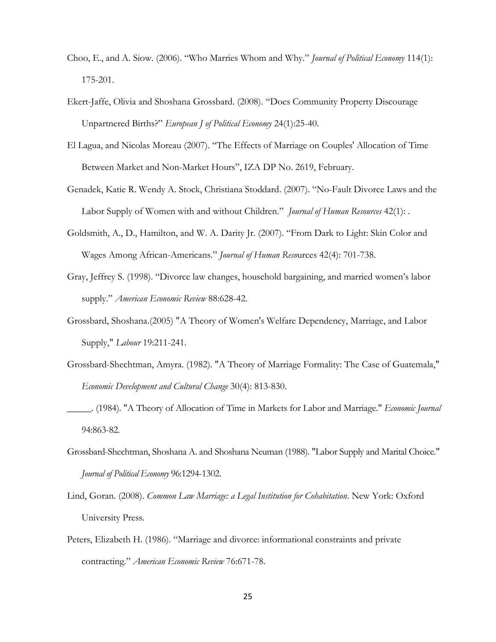- Choo, E., and A. Siow. (2006). "Who Marries Whom and Why." *Journal of Political Economy* 114(1): 175-201.
- Ekert-Jaffe, Olivia and Shoshana Grossbard. (2008). "Does Community Property Discourage Unpartnered Births?" *European J of Political Economy* 24(1):25-40.
- El Lagua, and Nicolas Moreau (2007). "The Effects of Marriage on Couples' Allocation of Time Between Market and Non-Market Hours", IZA DP No. 2619, February.
- Genadek, Katie R. Wendy A. Stock, Christiana Stoddard. (2007). "No-Fault Divorce Laws and the Labor Supply of Women with and without Children." *Journal of Human Resources* 42(1): .
- Goldsmith, A., D., Hamilton, and W. A. Darity Jr. (2007). "From Dark to Light: Skin Color and Wages Among African-Americans." *Journal of Human Reso*urces 42(4): 701-738.
- Gray, Jeffrey S. (1998). "Divorce law changes, household bargaining, and married women's labor supply." *American Economic Review* 88:628-42.
- Grossbard, Shoshana.(2005) ["A Theory of Women's Welfare Dependency, Marriage, and Labor](http://www-rohan.sdsu.edu/faculty/sgs/documents/Welfarenov2004.pdf)  [Supply,](http://www-rohan.sdsu.edu/faculty/sgs/documents/Welfarenov2004.pdf)" *Labour* 19:211-241.
- Grossbard-Shechtman, Amyra. (1982). "A Theory of Marriage Formality: The Case of Guatemala," *Economic Development and Cultural Change* 30(4): 813-830.
- \_\_\_\_\_. (1984). "A Theory of Allocation of Time in Markets for Labor and Marriage." *Economic Journal* 94:863-82.
- Grossbard-Shechtman, Shoshana A. and Shoshana Neuman (1988). "Labor Supply and Marital Choice." *Journal of Political Economy* 96:1294-1302.
- Lind, Goran. (2008). *Common Law Marriage: a Legal Institution for Cohabitation*. New York: Oxford University Press.
- Peters, Elizabeth H. (1986). "Marriage and divorce: informational constraints and private contracting." *American Economic Review* 76:671-78.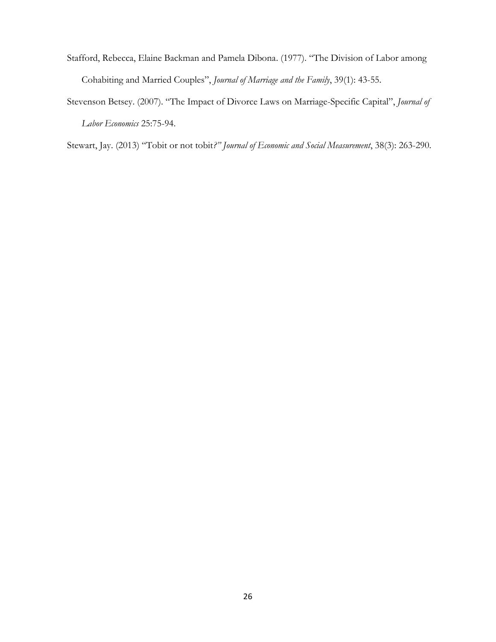- Stafford, Rebecca, Elaine Backman and Pamela Dibona. (1977). "The Division of Labor among Cohabiting and Married Couples", *Journal of Marriage and the Family*, 39(1): 43-55.
- Stevenson Betsey. (2007). "The Impact of Divorce Laws on Marriage-Specific Capital", *Journal of Labor Economics* 25:75-94.

Stewart, Jay. (2013) "Tobit or not tobit*?" Journal of Economic and Social Measurement*, 38(3): 263-290.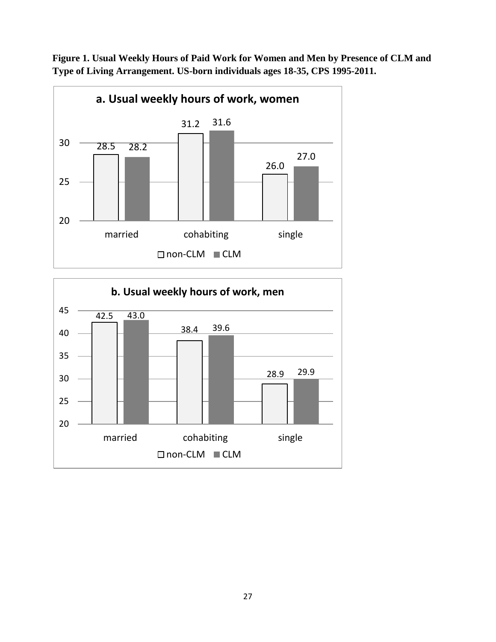

**Figure 1. Usual Weekly Hours of Paid Work for Women and Men by Presence of CLM and Type of Living Arrangement. US-born individuals ages 18-35, CPS 1995-2011.**

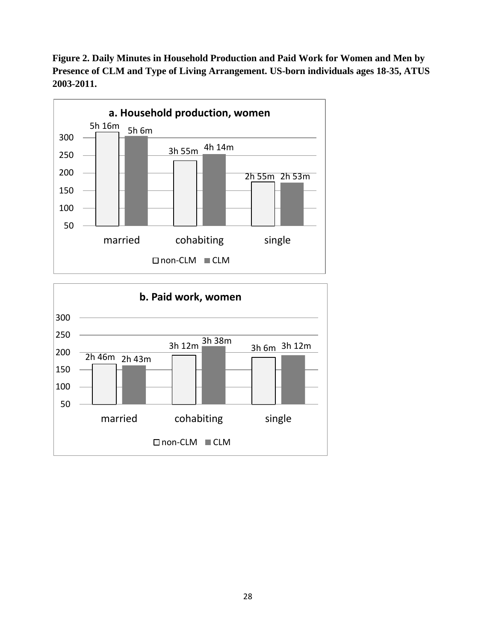**Figure 2. Daily Minutes in Household Production and Paid Work for Women and Men by Presence of CLM and Type of Living Arrangement. US-born individuals ages 18-35, ATUS 2003-2011.**



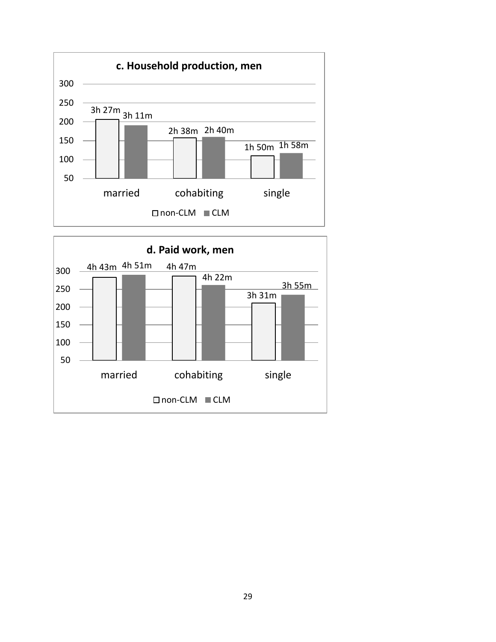

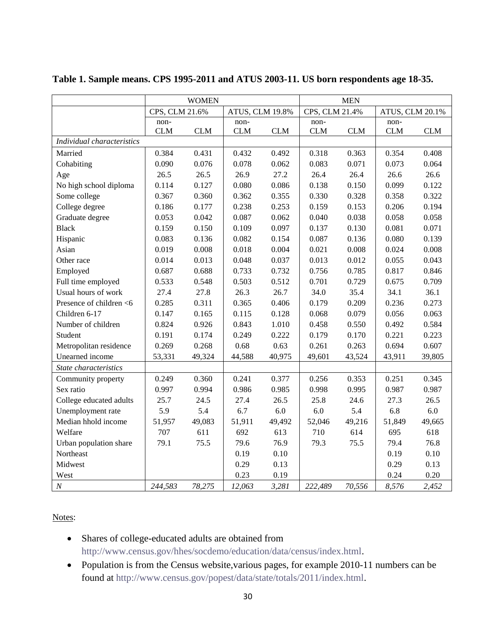|                            | <b>WOMEN</b>   |            |                 |            | <b>MEN</b>     |            |                 |            |
|----------------------------|----------------|------------|-----------------|------------|----------------|------------|-----------------|------------|
|                            | CPS, CLM 21.6% |            | ATUS, CLM 19.8% |            | CPS, CLM 21.4% |            | ATUS, CLM 20.1% |            |
|                            | non-           |            | non-            |            | non-           |            | non-            |            |
|                            | <b>CLM</b>     | <b>CLM</b> | <b>CLM</b>      | <b>CLM</b> | <b>CLM</b>     | <b>CLM</b> | <b>CLM</b>      | <b>CLM</b> |
| Individual characteristics |                |            |                 |            |                |            |                 |            |
| Married                    | 0.384          | 0.431      | 0.432           | 0.492      | 0.318          | 0.363      | 0.354           | 0.408      |
| Cohabiting                 | 0.090          | 0.076      | 0.078           | 0.062      | 0.083          | 0.071      | 0.073           | 0.064      |
| Age                        | 26.5           | 26.5       | 26.9            | 27.2       | 26.4           | 26.4       | 26.6            | 26.6       |
| No high school diploma     | 0.114          | 0.127      | 0.080           | 0.086      | 0.138          | 0.150      | 0.099           | 0.122      |
| Some college               | 0.367          | 0.360      | 0.362           | 0.355      | 0.330          | 0.328      | 0.358           | 0.322      |
| College degree             | 0.186          | 0.177      | 0.238           | 0.253      | 0.159          | 0.153      | 0.206           | 0.194      |
| Graduate degree            | 0.053          | 0.042      | 0.087           | 0.062      | 0.040          | 0.038      | 0.058           | 0.058      |
| <b>Black</b>               | 0.159          | 0.150      | 0.109           | 0.097      | 0.137          | 0.130      | 0.081           | 0.071      |
| Hispanic                   | 0.083          | 0.136      | 0.082           | 0.154      | 0.087          | 0.136      | 0.080           | 0.139      |
| Asian                      | 0.019          | 0.008      | 0.018           | 0.004      | 0.021          | 0.008      | 0.024           | 0.008      |
| Other race                 | 0.014          | 0.013      | 0.048           | 0.037      | 0.013          | 0.012      | 0.055           | 0.043      |
| Employed                   | 0.687          | 0.688      | 0.733           | 0.732      | 0.756          | 0.785      | 0.817           | 0.846      |
| Full time employed         | 0.533          | 0.548      | 0.503           | 0.512      | 0.701          | 0.729      | 0.675           | 0.709      |
| Usual hours of work        | 27.4           | 27.8       | 26.3            | 26.7       | 34.0           | 35.4       | 34.1            | 36.1       |
| Presence of children <6    | 0.285          | 0.311      | 0.365           | 0.406      | 0.179          | 0.209      | 0.236           | 0.273      |
| Children 6-17              | 0.147          | 0.165      | 0.115           | 0.128      | 0.068          | 0.079      | 0.056           | 0.063      |
| Number of children         | 0.824          | 0.926      | 0.843           | 1.010      | 0.458          | 0.550      | 0.492           | 0.584      |
| Student                    | 0.191          | 0.174      | 0.249           | 0.222      | 0.179          | 0.170      | 0.221           | 0.223      |
| Metropolitan residence     | 0.269          | 0.268      | 0.68            | 0.63       | 0.261          | 0.263      | 0.694           | 0.607      |
| Unearned income            | 53,331         | 49,324     | 44,588          | 40,975     | 49,601         | 43,524     | 43,911          | 39,805     |
| State characteristics      |                |            |                 |            |                |            |                 |            |
| Community property         | 0.249          | 0.360      | 0.241           | 0.377      | 0.256          | 0.353      | 0.251           | 0.345      |
| Sex ratio                  | 0.997          | 0.994      | 0.986           | 0.985      | 0.998          | 0.995      | 0.987           | 0.987      |
| College educated adults    | 25.7           | 24.5       | 27.4            | 26.5       | 25.8           | 24.6       | 27.3            | 26.5       |
| Unemployment rate          | 5.9            | 5.4        | 6.7             | 6.0        | 6.0            | 5.4        | 6.8             | 6.0        |
| Median hhold income        | 51,957         | 49,083     | 51,911          | 49,492     | 52,046         | 49,216     | 51,849          | 49,665     |
| Welfare                    | 707            | 611        | 692             | 613        | 710            | 614        | 695             | 618        |
| Urban population share     | 79.1           | 75.5       | 79.6            | 76.9       | 79.3           | 75.5       | 79.4            | 76.8       |
| Northeast                  |                |            | 0.19            | 0.10       |                |            | 0.19            | 0.10       |
| Midwest                    |                |            | 0.29            | 0.13       |                |            | 0.29            | 0.13       |
| West                       |                |            | 0.23            | 0.19       |                |            | 0.24            | 0.20       |
| $\cal N$                   | 244,583        | 78,275     | 12,063          | 3,281      | 222,489        | 70,556     | 8,576           | 2,452      |

#### **Table 1. Sample means. CPS 1995-2011 and ATUS 2003-11. US born respondents age 18-35.**

Notes:

- Shares of college-educated adults are obtained from [http://www.census.gov/hhes/socdemo/education/data/census/index.html.](http://www.census.gov/hhes/socdemo/education/data/census/index.html)
- Population is from the Census website, various pages, for example 2010-11 numbers can be found at [http://www.census.gov/popest/data/state/totals/2011/index.html.](http://www.census.gov/popest/data/state/totals/2011/index.html)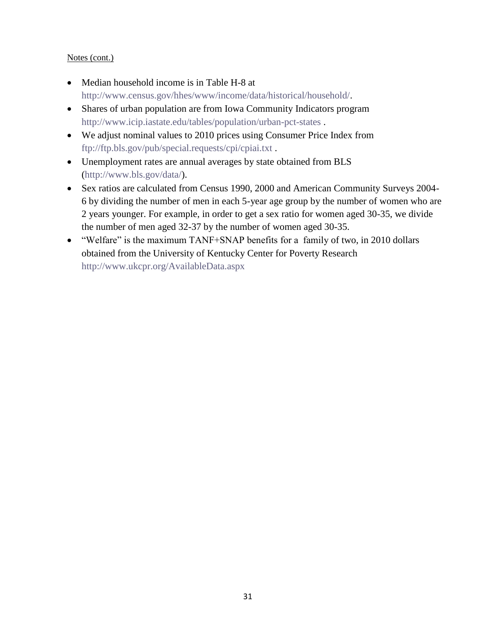#### Notes (cont.)

- Median household income is in Table H-8 at [http://www.census.gov/hhes/www/income/data/historical/household/.](http://www.census.gov/hhes/www/income/data/historical/household/)
- Shares of urban population are from Iowa Community Indicators program <http://www.icip.iastate.edu/tables/population/urban-pct-states> .
- We adjust nominal values to 2010 prices using Consumer Price Index from <ftp://ftp.bls.gov/pub/special.requests/cpi/cpiai.txt> .
- Unemployment rates are annual averages by state obtained from BLS [\(http://www.bls.gov/data/\)](http://www.bls.gov/data/).
- Sex ratios are calculated from Census 1990, 2000 and American Community Surveys 2004- 6 by dividing the number of men in each 5-year age group by the number of women who are 2 years younger. For example, in order to get a sex ratio for women aged 30-35, we divide the number of men aged 32-37 by the number of women aged 30-35.
- "Welfare" is the maximum TANF+SNAP benefits for a family of two, in 2010 dollars obtained from the University of Kentucky Center for Poverty Research <http://www.ukcpr.org/AvailableData.aspx>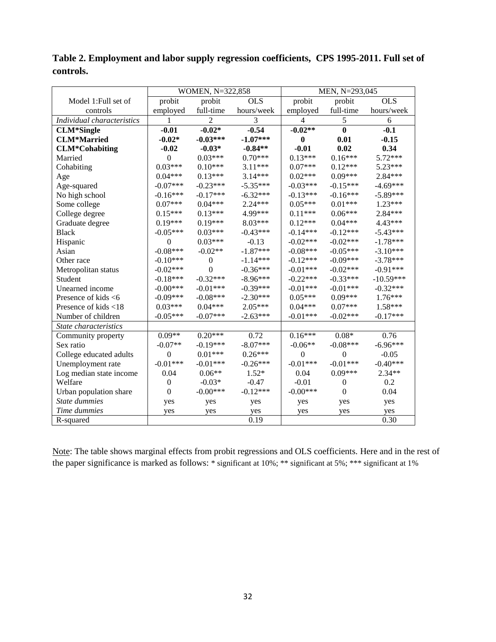|                            | WOMEN, N=322,858 |                  |            | MEN, N=293,045 |                  |             |  |
|----------------------------|------------------|------------------|------------|----------------|------------------|-------------|--|
| Model 1: Full set of       | probit           | probit           | <b>OLS</b> | probit         | probit           | <b>OLS</b>  |  |
| controls                   | employed         | full-time        | hours/week | employed       | full-time        | hours/week  |  |
| Individual characteristics | 1                | $\overline{2}$   | 3          | 4              | $\mathfrak s$    | 6           |  |
| <b>CLM*Single</b>          | $-0.01$          | $-0.02*$         | $-0.54$    | $-0.02**$      | $\bf{0}$         | $-0.1$      |  |
| <b>CLM*Married</b>         | $-0.02*$         | $-0.03***$       | $-1.07***$ | $\bf{0}$       | 0.01             | $-0.15$     |  |
| <b>CLM*Cohabiting</b>      | $-0.02$          | $-0.03*$         | $-0.84**$  | $-0.01$        | 0.02             | 0.34        |  |
| Married                    | $\theta$         | $0.03***$        | $0.70***$  | $0.13***$      | $0.16***$        | 5.72***     |  |
| Cohabiting                 | $0.03***$        | $0.10***$        | 3.11***    | $0.07***$      | $0.12***$        | $5.23***$   |  |
| Age                        | $0.04***$        | $0.13***$        | $3.14***$  | $0.02***$      | $0.09***$        | $2.84***$   |  |
| Age-squared                | $-0.07***$       | $-0.23***$       | $-5.35***$ | $-0.03***$     | $-0.15***$       | $-4.69***$  |  |
| No high school             | $-0.16***$       | $-0.17***$       | $-6.32***$ | $-0.13***$     | $-0.16***$       | $-5.89***$  |  |
| Some college               | $0.07***$        | $0.04***$        | $2.24***$  | $0.05***$      | $0.01***$        | $1.23***$   |  |
| College degree             | $0.15***$        | $0.13***$        | 4.99***    | $0.11***$      | $0.06***$        | 2.84***     |  |
| Graduate degree            | $0.19***$        | $0.19***$        | 8.03***    | $0.12***$      | $0.04***$        | 4.43***     |  |
| <b>Black</b>               | $-0.05***$       | $0.03***$        | $-0.43***$ | $-0.14***$     | $-0.12***$       | $-5.43***$  |  |
| Hispanic                   | $\theta$         | $0.03***$        | $-0.13$    | $-0.02***$     | $-0.02***$       | $-1.78***$  |  |
| Asian                      | $-0.08***$       | $-0.02**$        | $-1.87***$ | $-0.08***$     | $-0.05***$       | $-3.10***$  |  |
| Other race                 | $-0.10***$       | $\boldsymbol{0}$ | $-1.14***$ | $-0.12***$     | $-0.09***$       | $-3.78***$  |  |
| Metropolitan status        | $-0.02***$       | $\theta$         | $-0.36***$ | $-0.01***$     | $-0.02***$       | $-0.91***$  |  |
| Student                    | $-0.18***$       | $-0.32***$       | $-8.96***$ | $-0.22***$     | $-0.33***$       | $-10.59***$ |  |
| Unearned income            | $-0.00***$       | $-0.01***$       | $-0.39***$ | $-0.01***$     | $-0.01***$       | $-0.32***$  |  |
| Presence of kids $<6$      | $-0.09***$       | $-0.08***$       | $-2.30***$ | $0.05***$      | $0.09***$        | $1.76***$   |  |
| Presence of kids <18       | $0.03***$        | $0.04***$        | $2.05***$  | $0.04***$      | $0.07***$        | $1.58***$   |  |
| Number of children         | $-0.05***$       | $-0.07***$       | $-2.63***$ | $-0.01***$     | $-0.02***$       | $-0.17***$  |  |
| State characteristics      |                  |                  |            |                |                  |             |  |
| Community property         | $0.09**$         | $0.20***$        | 0.72       | $0.16***$      | $0.08*$          | 0.76        |  |
| Sex ratio                  | $-0.07**$        | $-0.19***$       | $-8.07***$ | $-0.06**$      | $-0.08***$       | $-6.96***$  |  |
| College educated adults    | $\mathbf{0}$     | $0.01***$        | $0.26***$  | $\overline{0}$ | $\overline{0}$   | $-0.05$     |  |
| Unemployment rate          | $-0.01***$       | $-0.01***$       | $-0.26***$ | $-0.01***$     | $-0.01***$       | $-0.40***$  |  |
| Log median state income    | 0.04             | $0.06**$         | $1.52*$    | 0.04           | $0.09***$        | $2.34**$    |  |
| Welfare                    | $\boldsymbol{0}$ | $-0.03*$         | $-0.47$    | $-0.01$        | $\boldsymbol{0}$ | 0.2         |  |
| Urban population share     | $\mathbf{0}$     | $-0.00***$       | $-0.12***$ | $-0.00***$     | $\theta$         | 0.04        |  |
| State dummies              | yes              | yes              | yes        | yes            | yes              | yes         |  |
| Time dummies               | yes              | yes              | yes        | yes            | yes              | yes         |  |
| R-squared                  |                  |                  | 0.19       |                |                  | 0.30        |  |

**Table 2. Employment and labor supply regression coefficients, CPS 1995-2011. Full set of controls.** 

Note: The table shows marginal effects from probit regressions and OLS coefficients. Here and in the rest of the paper significance is marked as follows: \* significant at 10%; \*\* significant at 5%; \*\*\* significant at 1%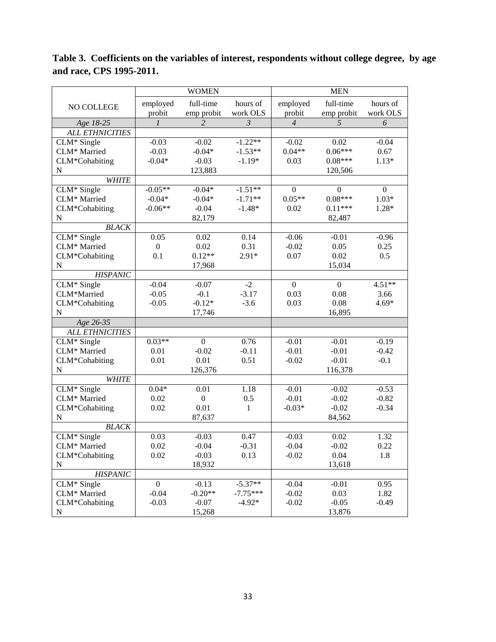|                        |                  | <b>WOMEN</b>             |                           |                  | <b>MEN</b>        |                  |
|------------------------|------------------|--------------------------|---------------------------|------------------|-------------------|------------------|
|                        | employed         | full-time                | hours of                  | employed         | full-time         | hours of         |
| NO COLLEGE             | probit           | emp probit               | work OLS                  | probit           | emp probit        | work OLS         |
| Age 18-25              | $\mathfrak{1}$   | $\overline{2}$           | $\overline{\mathfrak{z}}$ | $\overline{4}$   | 5                 | 6                |
| <b>ALL ETHNICITIES</b> |                  |                          |                           |                  |                   |                  |
| CLM* Single            | $-0.03$          | $-0.02$                  | $-1.22**$                 | $-0.02$          | 0.02              | $-0.04$          |
| CLM* Married           | $-0.03$          | $-0.04*$                 | $-1.53**$                 | $0.04**$         | $0.06***$         | 0.67             |
| CLM*Cohabiting         | $-0.04*$         | $-0.03$                  | $-1.19*$                  | 0.03             | $0.08***$         | $1.13*$          |
| ${\bf N}$              |                  | 123,883                  |                           |                  | 120,506           |                  |
| <b>WHITE</b>           |                  |                          |                           |                  |                   |                  |
| CLM* Single            | $-0.05**$        | $-0.04*$                 | $-1.51**$                 | $\theta$         | $\boldsymbol{0}$  | $\boldsymbol{0}$ |
| CLM* Married           | $-0.04*$         | $-0.04*$                 | $-1.71**$                 | $0.05**$         | $0.08***$         | $1.03*$          |
| CLM*Cohabiting         | $-0.06**$        | $-0.04$                  | $-1.48*$                  | 0.02             | $0.11***$         | 1.28*            |
| N                      |                  | 82,179                   |                           |                  | 82,487            |                  |
| <b>BLACK</b>           |                  |                          |                           |                  |                   |                  |
| CLM* Single            | 0.05             | 0.02                     | 0.14                      | $-0.06$          | $-0.01$           | $-0.96$          |
| CLM* Married           | $\boldsymbol{0}$ | 0.02                     | 0.31                      | $-0.02$          | 0.05              | 0.25             |
| CLM*Cohabiting         | 0.1              | $0.12**$                 | $2.91*$                   | 0.07             | 0.02              | 0.5              |
| ${\bf N}$              |                  | 17,968                   |                           |                  | 15,034            |                  |
| <b>HISPANIC</b>        |                  |                          |                           |                  |                   |                  |
| CLM* Single            | $-0.04$          | $-0.07$                  | $-2$                      | $\boldsymbol{0}$ | $\overline{0}$    | $4.51**$         |
| CLM*Married            | $-0.05$          | $-0.1$                   | $-3.17$                   | 0.03             | 0.08              | 3.66             |
| CLM*Cohabiting         | $-0.05$          | $-0.12*$                 | $-3.6$                    | 0.03             | 0.08              | $4.69*$          |
| ${\bf N}$              |                  | 17,746                   |                           |                  | 16,895            |                  |
| Age 26-35              |                  |                          |                           |                  |                   |                  |
| <b>ALL ETHNICITIES</b> |                  |                          |                           |                  |                   |                  |
| CLM* Single            | $0.03**$         | $\mathbf{0}$             | 0.76                      | $-0.01$          | $-0.01$           | $-0.19$          |
| CLM* Married           | 0.01             | $-0.02$                  | $-0.11$                   | $-0.01$          | $-0.01$           | $-0.42$          |
| CLM*Cohabiting         | 0.01             | 0.01                     | 0.51                      | $-0.02$          | $-0.01$           | $-0.1$           |
| ${\bf N}$              |                  | 126,376                  |                           |                  | 116,378           |                  |
| <b>WHITE</b>           |                  |                          |                           |                  |                   |                  |
| $CLM*$ Single          | $0.04*$          | 0.01                     | 1.18                      | $-0.01$          | $-0.02$           | $-0.53$          |
| CLM* Married           | 0.02             | $\boldsymbol{0}$<br>0.01 | 0.5<br>$\mathbf{1}$       | $-0.01$          | $-0.02$           | $-0.82$          |
| CLM*Cohabiting<br>N    | 0.02             | 87,637                   |                           | $-0.03*$         | $-0.02$<br>84,562 | $-0.34$          |
| <b>BLACK</b>           |                  |                          |                           |                  |                   |                  |
| CLM* Single            | 0.03             | $-0.03$                  | 0.47                      | $-0.03$          | 0.02              | 1.32             |
| CLM* Married           | 0.02             | $-0.04$                  | $-0.31$                   | $-0.04$          | $-0.02$           | 0.22             |
| CLM*Cohabiting         | 0.02             | $-0.03$                  | 0.13                      | $-0.02$          | 0.04              | 1.8              |
| ${\bf N}$              |                  | 18,932                   |                           |                  | 13,618            |                  |
| <b>HISPANIC</b>        |                  |                          |                           |                  |                   |                  |
| $CLM*$ Single          | $\boldsymbol{0}$ | $-0.13$                  | $-5.37**$                 | $-0.04$          | $-0.01$           | 0.95             |
| CLM* Married           | $-0.04$          | $-0.20**$                | $-7.75***$                | $-0.02$          | 0.03              | 1.82             |
| CLM*Cohabiting         | $-0.03$          | $-0.07$                  | $-4.92*$                  | $-0.02$          | $-0.05$           | $-0.49$          |
| ${\bf N}$              |                  | 15,268                   |                           |                  | 13,876            |                  |

**Table 3. Coefficients on the variables of interest, respondents without college degree, by age and race, CPS 1995-2011.**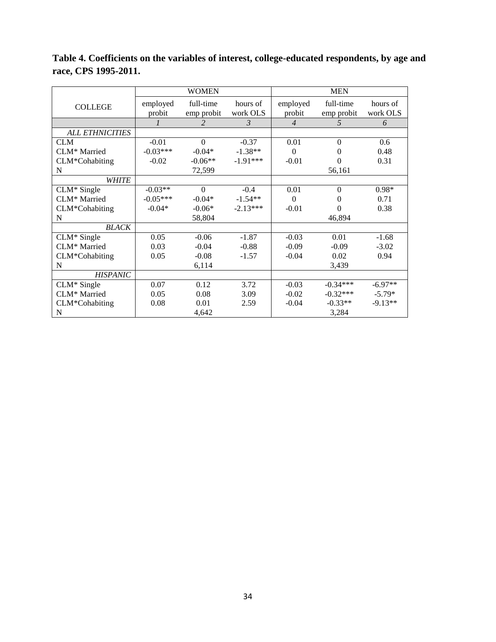|                        | <b>WOMEN</b> |                |               | <b>MEN</b>     |              |           |  |
|------------------------|--------------|----------------|---------------|----------------|--------------|-----------|--|
| <b>COLLEGE</b>         | employed     | full-time      | hours of      | employed       | full-time    | hours of  |  |
|                        | probit       | emp probit     | work OLS      | probit         | emp probit   | work OLS  |  |
|                        | 1            | $\mathfrak{D}$ | $\mathcal{E}$ | $\overline{4}$ | 5            | 6         |  |
| <b>ALL ETHNICITIES</b> |              |                |               |                |              |           |  |
| <b>CLM</b>             | $-0.01$      | $\theta$       | $-0.37$       | 0.01           | $\Omega$     | 0.6       |  |
| CLM* Married           | $-0.03***$   | $-0.04*$       | $-1.38**$     | $\theta$       | 0            | 0.48      |  |
| CLM*Cohabiting         | $-0.02$      | $-0.06**$      | $-1.91***$    | $-0.01$        | 0            | 0.31      |  |
| N                      |              | 72,599         |               |                | 56,161       |           |  |
| <b>WHITE</b>           |              |                |               |                |              |           |  |
| $CLM*$ Single          | $-0.03**$    | $\Omega$       | $-0.4$        | 0.01           | $\mathbf{0}$ | $0.98*$   |  |
| CLM* Married           | $-0.05***$   | $-0.04*$       | $-1.54**$     | $\theta$       | $\theta$     | 0.71      |  |
| CLM*Cohabiting         | $-0.04*$     | $-0.06*$       | $-2.13***$    | $-0.01$        | $\Omega$     | 0.38      |  |
| N                      |              | 58,804         |               |                | 46,894       |           |  |
| <b>BLACK</b>           |              |                |               |                |              |           |  |
| $CLM*$ Single          | 0.05         | $-0.06$        | $-1.87$       | $-0.03$        | 0.01         | $-1.68$   |  |
| CLM* Married           | 0.03         | $-0.04$        | $-0.88$       | $-0.09$        | $-0.09$      | $-3.02$   |  |
| CLM*Cohabiting         | 0.05         | $-0.08$        | $-1.57$       | $-0.04$        | 0.02         | 0.94      |  |
| N                      |              | 6,114          |               |                | 3,439        |           |  |
| <b>HISPANIC</b>        |              |                |               |                |              |           |  |
| $CLM*$ Single          | 0.07         | 0.12           | 3.72          | $-0.03$        | $-0.34***$   | $-6.97**$ |  |
| CLM* Married           | 0.05         | 0.08           | 3.09          | $-0.02$        | $-0.32***$   | $-5.79*$  |  |
| CLM*Cohabiting         | 0.08         | 0.01           | 2.59          | $-0.04$        | $-0.33**$    | $-9.13**$ |  |
| N                      |              | 4,642          |               |                | 3,284        |           |  |

**Table 4. Coefficients on the variables of interest, college-educated respondents, by age and race, CPS 1995-2011.**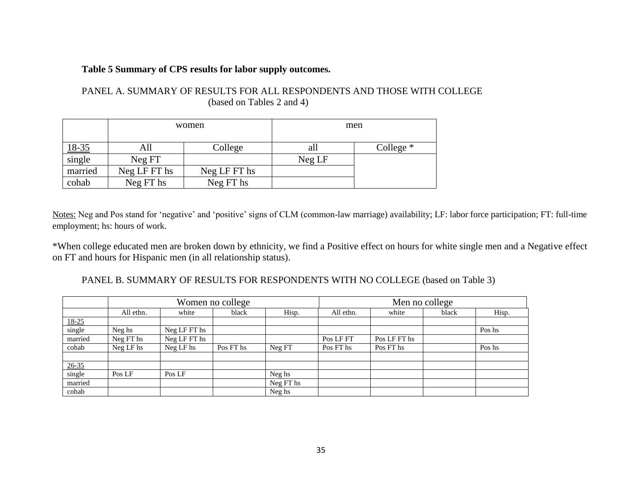#### **Table 5 Summary of CPS results for labor supply outcomes.**

| PANEL A. SUMMARY OF RESULTS FOR ALL RESPONDENTS AND THOSE WITH COLLEGE |  |
|------------------------------------------------------------------------|--|
| (based on Tables 2 and 4)                                              |  |

|              |              | women        |        | men         |
|--------------|--------------|--------------|--------|-------------|
| <u>18-35</u> | All          | College      | aП     | College $*$ |
| single       | Neg FT       |              | Neg LF |             |
| married      | Neg LF FT hs | Neg LF FT hs |        |             |
| cohab        | Neg FT hs    | Neg FT hs    |        |             |

Notes: Neg and Pos stand for 'negative' and 'positive' signs of CLM (common-law marriage) availability; LF: labor force participation; FT: full-time employment; hs: hours of work.

\*When college educated men are broken down by ethnicity, we find a Positive effect on hours for white single men and a Negative effect on FT and hours for Hispanic men (in all relationship status).

PANEL B. SUMMARY OF RESULTS FOR RESPONDENTS WITH NO COLLEGE (based on Table 3)

|                               |           |              | Women no college |           |           | Men no college |       |        |  |
|-------------------------------|-----------|--------------|------------------|-----------|-----------|----------------|-------|--------|--|
|                               | All ethn. | white        | black            | Hisp.     | All ethn. | white          | black | Hisp.  |  |
|                               |           |              |                  |           |           |                |       |        |  |
| $\frac{18-25}{\text{single}}$ | Neg hs    | Neg LF FT hs |                  |           |           |                |       | Pos hs |  |
| married                       | Neg FT hs | Neg LF FT hs |                  |           | Pos LF FT | Pos LF FT hs   |       |        |  |
| cohab                         | Neg LF hs | Neg LF hs    | Pos FT hs        | Neg FT    | Pos FT hs | Pos FT hs      |       | Pos hs |  |
|                               |           |              |                  |           |           |                |       |        |  |
|                               |           |              |                  |           |           |                |       |        |  |
| $\frac{26-35}{single}$        | Pos LF    | Pos LF       |                  | Neg hs    |           |                |       |        |  |
| married                       |           |              |                  | Neg FT hs |           |                |       |        |  |
| cohab                         |           |              |                  | Neg hs    |           |                |       |        |  |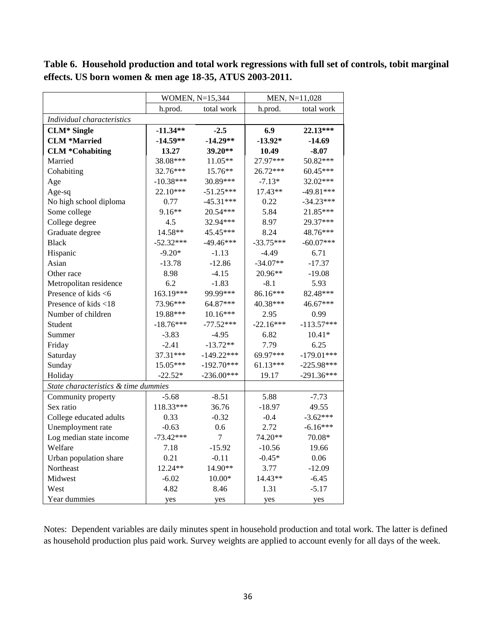|                                      | WOMEN, N=15,344 |                |             | MEN, N=11,028 |
|--------------------------------------|-----------------|----------------|-------------|---------------|
|                                      | h.prod.         | total work     | h.prod.     | total work    |
| Individual characteristics           |                 |                |             |               |
| <b>CLM*</b> Single                   | $-11.34**$      | $-2.5$         | 6.9         | 22.13***      |
| <b>CLM *Married</b>                  | $-14.59**$      | $-14.29**$     | $-13.92*$   | -14.69        |
| <b>CLM *Cohabiting</b>               | 13.27           | 39.20**        | 10.49       | $-8.07$       |
| Married                              | 38.08***        | 11.05**        | 27.97***    | 50.82***      |
| Cohabiting                           | 32.76***        | $15.76**$      | 26.72***    | 60.45***      |
| Age                                  | $-10.38***$     | 30.89***       | $-7.13*$    | 32.02***      |
| Age-sq                               | $22.10***$      | $-51.25***$    | 17.43**     | -49.81***     |
| No high school diploma               | 0.77            | $-45.31***$    | 0.22        | $-34.23***$   |
| Some college                         | $9.16**$        | 20.54***       | 5.84        | 21.85***      |
| College degree                       | 4.5             | 32.94***       | 8.97        | 29.37***      |
| Graduate degree                      | 14.58**         | 45.45***       | 8.24        | 48.76***      |
| <b>Black</b>                         | $-52.32***$     | $-49.46***$    | $-33.75***$ | $-60.07***$   |
| Hispanic                             | $-9.20*$        | $-1.13$        | $-4.49$     | 6.71          |
| Asian                                | $-13.78$        | $-12.86$       | $-34.07**$  | $-17.37$      |
| Other race                           | 8.98            | $-4.15$        | 20.96**     | $-19.08$      |
| Metropolitan residence               | 6.2             | $-1.83$        | $-8.1$      | 5.93          |
| Presence of kids <6                  | 163.19***       | 99.99***       | 86.16***    | 82.48***      |
| Presence of kids <18                 | 73.96***        | 64.87***       | 40.38***    | 46.67***      |
| Number of children                   | 19.88***        | $10.16***$     | 2.95        | 0.99          |
| Student                              | $-18.76***$     | $-77.52***$    | $-22.16***$ | $-113.57***$  |
| Summer                               | $-3.83$         | $-4.95$        | 6.82        | $10.41*$      |
| Friday                               | $-2.41$         | $-13.72**$     | 7.79        | 6.25          |
| Saturday                             | 37.31***        | $-149.22***$   | 69.97***    | $-179.01***$  |
| Sunday                               | 15.05***        | $-192.70***$   | $61.13***$  | $-225.98***$  |
| Holiday                              | $-22.52*$       | $-236.00***$   | 19.17       | $-291.36***$  |
| State characteristics & time dummies |                 |                |             |               |
| Community property                   | $-5.68$         | $-8.51$        | 5.88        | $-7.73$       |
| Sex ratio                            | 118.33***       | 36.76          | $-18.97$    | 49.55         |
| College educated adults              | 0.33            | $-0.32$        | $-0.4$      | $-3.62***$    |
| Unemployment rate                    | $-0.63$         | 0.6            | 2.72        | $-6.16***$    |
| Log median state income              | $-73.42***$     | $\overline{7}$ | 74.20**     | 70.08*        |
| Welfare                              | 7.18            | $-15.92$       | $-10.56$    | 19.66         |
| Urban population share               | 0.21            | $-0.11$        | $-0.45*$    | 0.06          |
| Northeast                            | 12.24**         | 14.90**        | 3.77        | $-12.09$      |
| Midwest                              | $-6.02$         | $10.00*$       | 14.43**     | $-6.45$       |
| West                                 | 4.82            | 8.46           | 1.31        | $-5.17$       |
| Year dummies                         | yes             | yes            | yes         | yes           |

**Table 6. Household production and total work regressions with full set of controls, tobit marginal effects. US born women & men age 18-35, ATUS 2003-2011.** 

Notes: Dependent variables are daily minutes spent in household production and total work. The latter is defined as household production plus paid work. Survey weights are applied to account evenly for all days of the week.